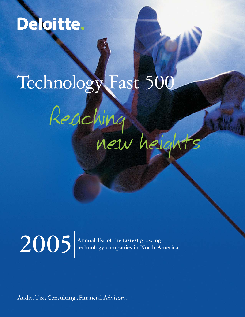# Deloitte.

# Technology Fast 500

# Reaching new heights



**technology companies in North America**

Audit. Tax. Consulting. Financial Advisory.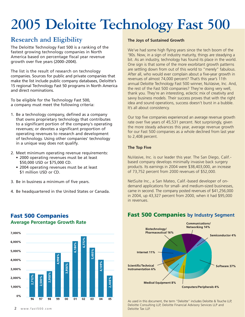# **2005 Deloitte Technology Fast 500**

## **Research and Eligibility**

The Deloitte Technology Fast 500 is a ranking of the fastest growing technology companies in North America based on percentage fiscal year revenue growth over five years (2000–2004).

The list is the result of research on technology companies. Sources for public and private companies that make the list include public company databases, Deloitte's 15 regional Technology Fast 50 programs in North America and direct nominations.

To be eligible for the Technology Fast 500, a company must meet the following criteria:

- 1. Be a technology company, defined as a company that owns proprietary technology that contributes to a significant portion of the company's operating revenues; or devotes a significant proportion of operating revenues to research and development of technology. Using other companies' technology in a unique way does not qualify.
- 2. Meet minimum operating revenue requirements: • 2000 operating revenues must be at least \$50,000 USD or \$75,000 CD.
	- 2004 operating revenues must be at least \$1 million USD or CD.
- 3. Be in business a minimum of five years.

**Fast 500 Companies**

**Average Percentage Growth Rate**

4. Be headquartered in the United States or Canada.

### **The Joys of Sustained Growth**

We've had some high flying years since the tech boom of the '90s. Now, in a sign of industry maturity, things are steadying a bit. As an industry, technology has found its place in the world. One sign is that some of the more exorbitant growth patterns are settling down from out of this world to "merely" fabulous. After all, who would ever complain about a five-year growth in revenues of almost 74,000 percent? That's this year's 11th annual Deloitte Technology Fast 500 winner, NuVasive, Inc. And, the rest of the Fast 500 companies? They're doing very well, thank you. They're an interesting, eclectic mix of creativity and savvy business models. Their success proves that with the right idea and sound operations, success doesn't burst in a bubble. It's all about consistency.

Our top five companies experienced an average revenue growth rate over five years of 45,531 percent. Not surprisingly, given the more steady advances this year, average revenue growth for our Fast 500 companies as a whole declined from last year to 2,408 percent.

### **The Top Five**

NuVasive, Inc. is our leader this year. The San Diego, Calif. based company develops minimally invasive back surgery products. Its earnings in 2004 were \$38,403,000, an increase of 73,752 percent from 2000 revenues of \$52,000.

NetSuite Inc., a San Mateo, Calif.-based developer of ondemand applications for small- and medium-sized businesses, came in second. The company posted revenues of \$41,256,000 in 2004, up 43,327 percent from 2000, when it had \$95,000 in revenues.



## **Fast 500 Companies by Industry Segment**

Biotechnology/ **Pharmaceutical 16%** 

**Medical Equipment 8%** 

Internet 11%

Scientific/Technical

**Instrumentation 6%** 

Communications/ **Networking 14%** 

**Computers/Peripherals 4%** 

**Semiconductor 4%** 

Software 37%

As used in this document, the term "Deloitte" includes Deloitte & Touche LLP, Deloitte Consulting LLP, Deloitte Financial Advisory Services LLP and Deloitte Tax LLP.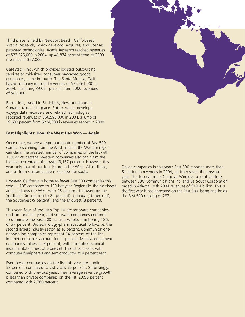Third place is held by Newport Beach, Calif.-based Acacia Research, which develops, acquires, and licenses patented technologies. Acacia Research reached revenues of \$23,925,000 in 2004, up 41,874 percent from its 2000 revenues of \$57,000.

CaseStack, Inc., which provides logistics outsourcing services to mid-sized consumer packaged goods companies, came in fourth. The Santa Monica, Calif. based company reported revenues of \$25,461,000 in 2004, increasing 39,071 percent from 2000 revenues of \$65,000.

Rutter Inc., based in St. John's, Newfoundland in Canada, takes fifth place. Rutter, which develops voyage data recorders and related technologies, reported revenues of \$66,595,000 in 2004, a jump of 29,630 percent from \$224,000 in revenues earned in 2000.

### **Fast Highlights: How the West Has Won — Again**

Once more, we see a disproportionate number of Fast 500 companies coming from the West. Indeed, the Western region can claim the greatest number of companies on the list with 139, or 28 percent. Western companies also can claim the highest percentage of growth (3,137 percent). However, this year only four of our top 10 are in the West. All of these, and all from California, are in our top five spots.

However, California is home to fewer Fast 500 companies this year — 105 compared to 130 last year. Regionally, the Northeast again follows the West with 25 percent, followed by the Southeast (increasing to 20 percent), Canada (10 percent), the Southwest (9 percent), and the Midwest (8 percent).

This year, four of the list's Top 10 are software companies, up from one last year, and software companies continue to dominate the Fast 500 list as a whole, numbering 186, or 37 percent. Biotechnology/pharmaceutical follows as the second largest industry sector, at 16 percent. Communications/ networking companies represent 14 percent of the list. Internet companies account for 11 percent. Medical equipment companies follow at 8 percent, with scientific/technical instrumentation next at 6 percent. The list concludes with computers/peripherals and semiconductor at 4 percent each.

Even fewer companies on the list this year are public — 53 percent compared to last year's 59 percent. Surprisingly, compared with previous years, their average revenue growth is less than private companies on the list: 2,098 percent compared with 2,760 percent.

Eleven companies in this year's Fast 500 reported more than \$1 billion in revenues in 2004, up from seven the previous year. The top earner is Cingular Wireless, a joint venture between SBC Communications Inc. and BellSouth Corporation based in Atlanta, with 2004 revenues of \$19.4 billion. This is the first year it has appeared on the Fast 500 listing and holds the Fast 500 ranking of 282.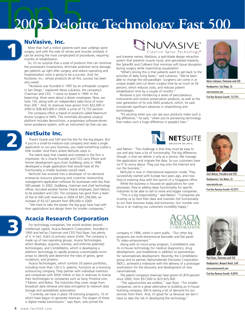# $2005$  Deloit **2005 Deloitte Technology Fast 500**

## **NuVasive, Inc.**

**1**

**2**

**3**

More than half a million patients each year undergo spine surgery, and with the web of nerves and muscles involved, it can be among the most complicated of procedures, requiring months of rehabilitation.

So, it's no surprise that a suite of products that can minimize the procedure's invasiveness, eliminate potential nerve damage, get patients up right after surgery, and reduce operating and hospitalization costs is going to be a success. And, for NuVasive, Inc., whose products do all this, success has been very sweet.

"NuVasive was founded in 1997 by an orthopedic surgeon in San Diego," explained Alexis Lukianov, the company's Chairman and CEO. "I came on board in 1999. In the beginning, there were about a dozen employees. Now, we have 135, along with an independent sales force of more than 200." And, its revenues have grown from \$52,000 in 2000 to \$38,403,000 in 2004, a jump of 73,752 percent.

The company offers a tripod of products called Maximum Access Surgery or MAS. This minimally disruptive surgical platform includes NeuroVision, a proprietary software-driven nerve avoidance system, with an instrument tip that can see

## **NetSuite Inc.**

There's Oracle and SAP and the like for the big players. But if you're a small-to-medium-size company and need a single application to run your business, you need something scaled a little smaller. And that's where NetSuite steps in.

The talent base that created and invested in the firm is impressive. As is Oracle Founder and CEO Larry Ellison and former development guru Evan Goldberg, who in 1998 developed a single application that would have all the functionality a smaller business would need.

NetSuite has evolved into a developer of on-demand enterprise resource planning and customer relationship management application software for businesses with less than 500 people. In 2002, Goldberg, chairman and chief technology officer, recruited another former Oracle employee, Zach Nelson, to be president and CEO. The company has gone from a team of five to 500 with revenues in 2004 of \$41,256,000, an increase of 43,327 percent from \$95,000 in 2000.

"We tried to take the power the big guys have had with their applications but design them for smaller companies,"

## **Acacia Research Corporation**

For technology companies, the world revolves around intellectual capital. Acacia Research Corporation, founded in 1993 and led by Chairman and CEO Paul Ryan, has plenty of it. In fact, that's its primary raison d'etre. The company is made up of two operating groups, Acacia Technologies, which develops, acquires, licenses, and enforces patented technologies, and CombiMatrix, which is developing a platform technology to rapidly produce customizable microarrays to identify and determine the roles of genes, gene mutations, and proteins.

Acacia Technologies, which controls 33 patent portfolios, including more than 120 U.S. patents, functions as a licensing outsourcing company. They partner with individual inventors and companies with \$500 million or less in revenues to license their technologies to companies such as Sony, Priceline.com, 7-Eleven, and Nokia. The industries they cover range from broadcast data retrieval and data encryption to network data storage and spreadsheet automation.

"Currently, we have in place 18 licensing programs, 10 of which have begun to generate revenues. The largest of these is digital media transmission," says Ryan, who joined the



and traverse nerves; MaXcess, a split-blade design retraction system that prevents muscle injury; and specialized implants, like SpherRX and CoRoent that minimize soft tissue disruption during surgery while maximizing visualization.

"What's driving this is that patients want to get back to the activities of daily living faster," said Lukianov. "We've been able to change the old paradigm. Surgeons can come in at unique angles and cut down surgery time by as much as 50 percent, which reduces costs, and reduces patient rehabilitation time by a couple of months."

NuVasive is just introducing a series of percutaneous instruments and motion preservation products, as well as the next generation of its core MAS products, which, he said, incorporate significant advances in streamlining and technologies.

"It's exciting when you can see your products make such a big difference," he said, "when you're pioneering technology that makes such a huge difference in people's lives."



said Nelson. "The challenge is that they must be easy to use and also have a lot of functionality. The big difference, though, is that we deliver it only as a service. We manage the application and migrate the data. So our customers have no IT to worry about. They just log onto the Internet and run the business."

NetSuite is now in international expansion mode. They successfully started with Europe two years ago, and now they're entering Asia with the launch of a Singapore office.

While the business is focused on applications for core processes, they're adding deep functionality for specific industries to be able to sell to more and bigger companies.

"This is a big responsibility," said Nelson. "Companies are trusting us to host their data and maintain the functionality to run their business today and tomorrow. Our number one focus is on making our customers incredibly happy."



company in 1996, when it went public. "Our other big programs are multi-dimensional barcodes and flat panel TV video enhancement."

Along with its micro-array program, CombiMatrix uses its in-house technology for medical diagnostics, drug development, and biodefense in addition to partnerships for nanomaterials development. Recently, the CombiMatrix group and its partner, Nanomaterials Discovery Corporation (NDC), achieved a milestone with the delivery of a prototype workstation for the discovery and development of new nanomaterials.

The parent company's revenues have grown 41,874 percent since 2000, from \$57,000 to \$23,925,000.

"The opportunities are endless," says Ryan. "For smaller companies, we're a great alternative to building an in-house licensing company. We're seeing a lot of demand for our services from them. And, it's great for us because we don't have to take the risk in developing the technology."



Alexis Lukianov, Chairman and CEO Headquarters: San Diego, CA www.nuvasive.com Five-Year Revenue Growth: 73,752%



Zach Nelson, President and CEO Headquarters: San Mateo, CA www.netsuite.com Five-Year Revenue Growth: 43,327%



Paul Ryan, Chairman and CEO Headquarters: Newport Beach, Calif. www.acaciaresearch.com Five-Year Revenue Growth: 41,874%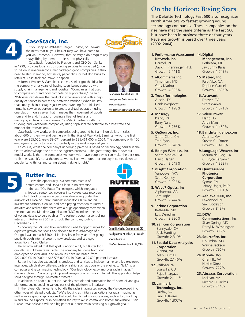

**5**

### **CaseStack, Inc.**

If you shop at Wal-Mart, Target, Costco, or Rite-Aid, the items that fill your basket may well have come to you via CaseStack. However, that delivery didn't require any heavy lifting by them — at least not physically.

CaseStack, founded by President and CEO Dan Sanker in 1999, provides logistics outsourcing services to mid-sized (under \$1 billion in revenues) consumer packaged goods companies. If they need to ship shampoo, hot sauce, paper clips, or hot dog buns to retailers, CaseStack can make it happen.

A former Procter & Gamble executive, Sanker got the idea for the company after years of having seen issues come up with supply chain management and logistics. "Companies that used to compete on brand now compete on supply chain," he said. "Whoever can deliver the product inexpensively and with a high quality of service becomes the preferred vendor." When he saw that supply chain packages just weren't working for mid-sized firms, he saw an opportunity to create a virtual operation using one platform on a server that manages the movement of goods from end to end. Instead of buying a fleet of trucks and

managing a chain of warehouses, CaseStack partners with the trucking and warehouse companies, using sophisticated software to orchestrate and monitor the transactions.

CaseStack now works with companies doing around half a million dollars in sales about 600 of them — and partners with the likes of Wal-Mart. Earnings, which the first year were \$65,000, grew 39,071 percent to \$25,461,000 in 2004. The company, with 100 employees, expects to grow substantially in the next couple of years.

Of course, while the company's underlying premise is based on technology, Sanker is the first to acknowledge the art to the logistics business. "The great thing about how our model works is that the companies we work with have people who can make the decisions to fix the issue. It's not a theoretical world. Even with great technology it comes down to people fixing things and caring about making it right."



'Seize the opportunity' is a common mantra of entrepreneurs, and Donald Clarke is no exception. In the late '90s, Rutter Technologies, which integrated shipboard sensor technologies into voyage data recorders

(think black boxes on aircraft), was developing under the auspices of a local St. John's business incubator. Clarke and his investment partners, ConPro, had been paying attention to Rutter's activities and realized that there was a huge opportunity there when the International Maritime Organization (IMO) mandated the use of voyage data recorders by ships. The partners bought a controlling interest in Rutter in 2001 and took the company public in December 2002.

"Knowing the IMO and how regulations lead to opportunities for explosive growth, we saw it and decided to take advantage of it. Our goal was to reach \$500 million in sales in five years after going public through internal growth, new products, and strategic acquisitions," said Clarke.

He acknowledged that that goal is lagging a bit, but Rutter Inc.'s growth has still been remarkable. The company has gone from four employees to over 400, and revenues have increased from

\$224,000 CD in 2000 to \$66,595,000 CD in 2004, a 29,630 percent increase.

Rutter Inc. has also expanded its products and services to include marine-certified electronic interfaces, which allow different parts of a ship, such as doors or the engine, to "talk" to a computer and radar imaging technology. "Our technology vastly improves radar images," Clarke explained. "You can pick up small images or a fast moving target. This application helps ships navigate through ice-infested waters."

In addition, he added, Rutter Inc. handles controls and automation for off-shore oil and gas platforms, again, enabling various parts of the platform to interface.

In the future, Clarke wants to bundle the radar imaging technology they've developed into other types of related products. "We're looking at military applications for radar imaging as well as more specific applications that could be utilized in various areas, such as bird tracking in and around airports, or in homeland security to aid in coastal and border surveillance," said Clarke. "We believe it will be a big part of our business in achieving our growth goal."





Donald I. Clarke, Chairman and CEO Headquarters: St. John's, NF, Canada

www.rutterinc.ca

Five-Year Revenue Growth: 29,630%

## **On the Horizon: Rising Stars**

The Deloitte Technology Fast 500 also recognizes North America's 25 fastest growing young technology companies. These companies on the rise have met the same criteria as the Fast 500 but have been in business three or four years. Revenue growth is based over three years (2002–2004).

- **1. Performance Assessment 14. Digital Network, Inc.**  Carmel, IN David T. Pfenninger, Ph.D. Growth: 5,441%
- **2. i4Commerce Inc.** Timonium, MD Gary Marino Growth: 4,922%
- **3. Troux Technologies** Austin, TX Hank Weghorst Growth: 4,198%
- **4. Masergy** Plano, TX Barry Nalls Growth: 3,976%
- **5. OpSource, Inc.** Santa Clara, CA Treb Ryan Growth: 3,946%
- **6. Boingo Wireless, Inc.** Santa Monica, CA David Hagan Growth: 3,549%
- **7. nLight Corporation** Vancouver, WA Scott Keeney Growth: 2,902%
- **8. Wave7 Optics, Inc.** Alpharetta, GA Tom Tighe Growth: 2,744%
- **9. JackBe Corporation** Bethesda, MD Luis Derechin Growth: 2,386%
- **10. eSilicon Corporation** Sunnyvale, CA Jack Harding Growth: 2,319%
- **11. Spatial Data Analytics Corporation**  Vienna, VA Mark Dumas Growth: 2,146%
- **12. StillSecure** Louisville, CO Rajat Bhargava Growth: 2,111%
- **13. Lanmark Technology, Inc.** Fairfax, VA Lani H. Rorrer Growth: 1,807%

**Management, Inc.** Bethesda, MD Jay Sunny Bajaj Growth: 1,743%

- **15. Metreo, Inc.** Palo Alto, CA Daphne Carmeli Growth: 1,686%
- **16. Accuvant** Denver, CO Scott Walker Growth: 1,571%
- **17. Valere Power** Plano, TX Andy Marsh Growth: 1,480%
- **18. BancIntelligence.com** Atlanta, GA Steven C. Cotton Growth: 1,410%
- **19. Language Weaver, Inc.** Marina del Rey, CA C. Bryce Benjamin Growth: 1,323%
- **20. Quintessence Photonics Corporation** Sylmar, CA Jeffrey Ungar, Ph.D. Growth: 1,081%
- **21. Achieve 3000, Inc.** Lakewood, NJ Saki Dodelson Growth: 843%
- **22. DKW** 
	- **Communications, Inc.** Silver Spring, MD Darryl K. Washington Growth: 838%
- **23. Sourcefire, Inc.** Columbia, MD Wayne Jackson Growth: 796%
- **24. Mobile 365** Chantilly, VA Neville Street Growth: 727%
- **25. Abraxas Corporation** McLean, VA Richard H. Helms Growth: 714%





Dan Sanker, President and CEO Headquarters: Santa Monica, CA www.casestack.com

Five-Year Revenue Growth: 39,071%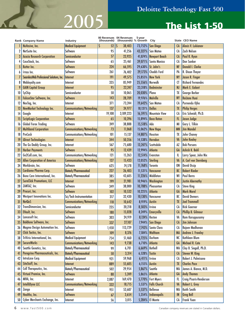# **2005 The List 1-50**

 $\overline{\phantom{a}}$ 

|    | <b>Rank Company Name</b>                 | Industry                      | (thousands) | 00 Revenues 04 Revenues<br>(thousands) % Growth | 5-year             | City                   |                | State CEO Name            |
|----|------------------------------------------|-------------------------------|-------------|-------------------------------------------------|--------------------|------------------------|----------------|---------------------------|
|    | NuVasive, Inc.                           | <b>Medical Equipment</b>      | \$<br>52    | IS<br>38,403                                    |                    | 73,752%   San Diego    | A              | Alexis V. Lukianov        |
| 2  | NetSuite Inc.                            | Software                      | 95          | 41,256                                          |                    | 43,327%   San Mateo    | <b>CA</b>      | <b>Zach Nelson</b>        |
| 3  | <b>Acacia Research Corporation</b>       | Semiconductor                 | 57          | 23,925                                          |                    | 41,874% Newport Beach  | A              | Paul R. Ryan              |
| 4  | CaseStack, Inc.                          | Software                      | 65          | 25,461                                          |                    | 39,071%   Santa Monica | CA             | Dan Sanker                |
|    | Rutter Inc.                              | Software                      | 224         | 66,595                                          |                    | 29,630% St. John's     | <b>NF</b>      | <b>Donald I. Clarke</b>   |
| 6  | I-trax Inc.                              | Software                      | 261         | 76,402                                          | 29,173%            | <b>Chadds Ford</b>     | PA             | R. Dixon Thayer           |
|    | SeamlessWeb Professional Solutions, Inc. | Internet                      | 191         | 49,575                                          |                    | 25,855% New York       | <b>NY</b>      | Jason R. Finger           |
| 8  | Webloyalty.com                           | Internet                      | 335         | 85,949                                          | 25,556%            | Norwalk                | CT             | <b>Richard Fernandes</b>  |
| 9  | <b>GAIN Capital Group</b>                | Internet                      | 95          | 22,247                                          |                    | 23,318% Bedminster     | <b>NJ</b>      | Mark E. Galant            |
| 10 | SyChip                                   | Semiconductor                 | 50          | 10,065                                          | 20,030%            | Plano                  | TX             | George Barber             |
| Ш  | FalconStor Software, Inc.                | Software                      | 143         | 28,709                                          | 19,976%   Melville |                        | <b>NY</b>      | <b>ReiJane Huai</b>       |
| 12 | NexTag, Inc.                             | Internet                      | 371         | 73,244                                          | 19,642%            | San Mateo              | CA             | Purnendu Ojha             |
| 13 | NewMarket Technology Inc.                | Communications/Networking     | 137         | 24,977                                          | 18,131% Dallas     |                        | TX             | <b>Philip Verges</b>      |
| 14 | Google                                   | Internet                      | 19,108      | 3,189,223                                       | $16,591\%$         | <b>Mountain View</b>   | CA             | Eric Schmidt, Ph.D.       |
|    | <b>ScriptLogic Corporation</b>           | Software                      | 65          | 10,396                                          |                    | 15,894%   Boca Raton   | F <sub>L</sub> | Jason Judge               |
| 15 | <b>Global Forex Trading</b>              | Software                      | 249         |                                                 | 15,518%            | Ada                    | M              | Gary L. Tilkin            |
| 16 |                                          |                               | 73          | 38,888                                          |                    | 15,062% New Hope       |                | <b>Jim Mandel</b>         |
| 17 | <b>Multiband Corporation</b>             | Communications/Networking     |             | 11,068                                          |                    |                        | <b>MN</b>      | John Chaney               |
| 18 | <b>PreCash</b>                           | Communications/Networking     | 101         | 15,137                                          | 14,887%            | Houston                | TX             |                           |
| 19 | iDirect Technologies                     | Internet                      | 344         | 50,356                                          |                    | 14,538%   Herndon      | VA             | <b>John Kealey</b>        |
| 20 | The Go Daddy Group, Inc.                 | Internet                      | 567         | 75,680                                          |                    | 13,247% Scottsdale     | AZ             | <b>Bob Parsons</b>        |
| 21 | <b>Harbor Payments</b>                   | Software                      | 95          | 12,439                                          | 12,994% Atlanta    |                        | GA             | Ashish K. Bahl            |
| 22 | Go2Call.com, Inc.                        | Communications/Networking     | 121         | 15,263                                          |                    | 12,514% Evanston       | IL             | Larry Spear, John Nix     |
| 23 | <b>Allen Corporation of America</b>      | Communications/Networking     | 127         | 15,433                                          | 12,052%   Sterling |                        | VA             | A. Carl von Sternberg     |
| 24 | Workbrain, Inc.                          | Software                      | 625         | 74,178                                          | 11,768%            | <b>Toronto</b>         | <b>ON</b>      | <b>David Ossip</b>        |
| 25 | <b>Cardiome Pharma Corp.</b>             | <b>Biotech/Pharmaceutical</b> | 227         | 26,403                                          |                    | 11,531%   Vancouver    | BC             | <b>Robert Rieder</b>      |
| 26 | Bone Care International, Inc.            | Biotech/Pharmaceutical        | 385         | 43,605                                          |                    | 11,226% Middleton      | WI             | <b>Paul Berns</b>         |
| 27 | <b>SureClick Promotions, LLC</b>         | Internet                      | 199         | 21,981                                          |                    | 10,946%   Washington   | DC             | <b>Justin Abernathy</b>   |
| 28 | ZANTAZ, Inc.                             | Software                      | 349         | 38,000                                          |                    | 10,788% Pleasanton     | CA             | <b>Steve King</b>         |
| 29 | Procuri, Inc.                            | <b>Software</b>               | 102         | 10,532                                          | 10,225% Atlanta    |                        | GA             | <b>Mark Morel</b>         |
| 30 | Westport Innovations Inc.                | Sci/Tech Instrumentation      | 317         | 32,430                                          | 10,130%            | Vancouver              | BC             | <b>David Demers</b>       |
| 31 | <b>NetQoS</b>                            | Communications/Networking     | 118         | 10,642                                          | 8,919% Austin      |                        | <b>TX</b>      | <b>Joel Trammell</b>      |
| 32 | TransDimension, Inc.                     | Semiconductor                 | 235         | 20,218                                          | 8,503%             | Irvine                 | CA             | <b>Rick Goerner</b>       |
| 33 | EVault, Inc.                             | Software                      | 180         | 15,028                                          |                    | 8,249% Emeryville      | CA             | <b>Phillip B. Gilmour</b> |
| 34 | Lancesoft Inc.                           | Software                      | 303         | 24,919                                          | 8,124% Reston      |                        | VA             | <b>Ram Karuppusamy</b>    |
| 35 | <b>BakBone Software, Inc.</b>            | Software                      | 337         | 27,107                                          |                    | $7,944\%$ San Diego    | CA             | Jim Johnson               |
| 36 | Magma Design Automation Inc.             | Software                      | 1,450       | 113,729                                         |                    | 7,743%   Santa Clara   | CA             | Rajeev Madhavan           |
| 37 | Click Tactics, Inc.                      | Software                      | 109         | 8,376                                           |                    | 7,584%   Waltham       | <b>MA</b>      | <b>Andrew J. Frawley</b>  |
| 38 | TriVirix International, Inc.             | <b>Medical Equipment</b>      | 754         | 51,460                                          |                    | 6,725% Durham          | <b>NC</b>      | Kathleen Blum             |
| 39 | <b>SecureWorks</b>                       | Communications/Networking     | 143         | 9,738                                           |                    | 6,710% Atlanta         | GA             | Michael R. Cote           |
| 40 | Seattle Genetics, Inc.                   | Biotech/Pharmaceutical        | 99          | 6,701                                           | 6,669%   Bothell   |                        | <b>WA</b>      | Clay B. Siegall, Ph.D.    |
| 41 | Peregrine Pharmaceuticals, Inc.          | Biotech/Pharmaceutical        | 50          | 3,314                                           | $6,528\%$ Tustin   |                        | CA             | <b>Steven W. King</b>     |
| 42 | IntraLase Corp.                          | <b>Medical Equipment</b>      | 921         | 59,968                                          | 6,411%             | <b>Irvine</b>          | CA             | Robert J. Palmisano       |
| 43 | SiteStuff, Inc.                          | Internet                      | 889         | 55,605                                          | $6,155\%$ Austin   |                        | TX             | <b>Charles Pace</b>       |
| 44 | Cell Therapeutics, Inc.                  | Biotech/Pharmaceutical        | 502         | 29,954                                          | 5,867%   Seattle   |                        | WA             | James A. Bianco, M.D.     |
| 45 | Virtual Premise, Inc.                    | Software                      | 88          | 5,249                                           | 5,865% Atlanta     |                        | GA             | <b>Andy Thomas</b>        |
| 46 | MIVA, Inc.                               | Internet                      | 2,887       | 169,470                                         |                    | 5,770%   Fort Myers    | FL.            | Craig Pisaris-Henderson   |
| 47 | <b>IntelliDyne LLC</b>                   | Communications/Networking     | 332         | 18,715                                          |                    | 5,537%   Falls Church  | <b>VA</b>      | Robert L. Grey            |
| 48 | Zango                                    | Internet                      | 951         | 53,607                                          |                    | 5,537%   Bellevue      | <b>WA</b>      | Keith Smith               |
| 49 | Healthx, Inc.                            | Software                      | 67          | 3,654                                           |                    | 5,354%   Indianapolis  | IN             | <b>Greg Bell</b>          |
| 50 | Cyber Merchants Exchange, Inc.           | Internet                      | 56          | 3,015                                           |                    | 5,284% El Monte        | CA             | Frank Yuan                |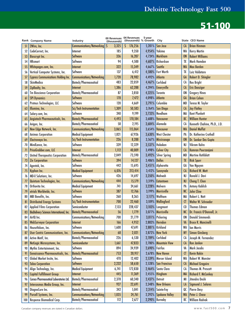|                | Rank Company Name                               | Industry                      | 00 Revenues<br>(thousands) | 04 Revenues<br>(thousands) % Growth | 5-year           | City                  |                | <b>State CEO Name</b>        |
|----------------|-------------------------------------------------|-------------------------------|----------------------------|-------------------------------------|------------------|-----------------------|----------------|------------------------------|
| 51             | 2Wire, Inc.                                     | Communications/Networking S   | 3,325                      | 176,256<br>S.                       | $5,201\%$        | San Jose              | <b>CA</b>      | <b>Brian Hinman</b>          |
| 52             | CodeCorrect, Inc.                               | Internet                      | 185                        | 9,350                               | 4,954%           | Yakima                | <b>WA</b>      | <b>Kerry Martin</b>          |
| 53             | <b>Bioscrypt Inc.</b>                           | Software                      | 336                        | 16,207                              | 4,724%           | Markham               | <b>ON</b>      | <b>Robert Williams</b>       |
| 54             | <b>HRsmart</b>                                  | Software                      | 94                         | 4,500                               | 4,687%           | Richardson            | TX             | Mark Hamdan                  |
| 55             | Whitepages.com, Inc.                            | Internet                      | 322                        | 15,349                              | 4,667%           | <b>Seattle</b>        | <b>WA</b>      | Max Barden                   |
| 56             | Vertical Computer Systems, Inc.                 | Software                      | 137                        | 6,412                               | 4,580%           | <b>Fort Worth</b>     | TX             | Luiz Valdetaro               |
| 57             | <b>Cypress Communications Holding Inc.</b>      | Communications/Networking     | 1,720                      | 78,982                              | 4,492%           | Atlanta               | GA             | Robert D. Shingler           |
| 58             | <b>SkinMedica</b>                               | Biotech/Pharmaceutical        | 483                        | 22,059                              | 4,467%           | Carlsbad              | CA             | <b>Rex Bright</b>            |
| 59             | ZipRealty, Inc.                                 | Internet                      | 1,386                      | 62,288                              | 4,394%           | <b>Emeryville</b>     | $1$            | <b>Eric Danziger</b>         |
| 60             | <b>Tm Bioscience Corporation</b>                | Biotech/Pharmaceutical        | 87                         | 3,850                               | 4,325%           | <b>Toronto</b>        | <b>ON</b>      | <b>Gregory Hines</b>         |
| 6 <sup>1</sup> | <b>SPI Dynamics</b>                             | <b>Software</b>               | 178                        | 7,472                               | 4,098%           | Atlanta               | GA             | <b>Brian Cohen</b>           |
| 62             | Proteus Technologies, LLC                       | Software                      | 120                        | 4,669                               | 3,791%           | Columbia              | <b>MD</b>      | Teresa M. Taylor             |
| 63             | Illumina, Inc.                                  | Sci/Tech Instrumentation      | 1,309                      | 50,583                              | 3,764%           | <b>San Diego</b>      | <b>CA</b>      | <b>Jay Flatley</b>           |
| 64             | Salary.com, Inc.                                | Software                      | 240                        | 9,199                               | 3,733%           | Needham               | MA             | <b>Kent Plunkett</b>         |
| 65             | Angiotech Pharmaceuticals, Inc.                 | <b>Biotech/Pharmaceutical</b> | 4,493                      | 170,184                             | 3,688%           | Vancouver             | BC             | <b>William Hunter</b>        |
| 66             | Avigen, Inc.                                    | Biotech/Pharmaceutical        | 58                         | 2,195                               | 3,684%           | Alameda               | CA             | Kenneth Chahine, Ph.D., J.D. |
| 67             | New Edge Network, Inc.                          | Communications/Networking     | 3,065                      | 115,064                             | 3,654%           | <b>Vancouver</b>      | <b>WA</b>      | <b>Daniel Moffat</b>         |
| 68             | <b>Animas Corporation</b>                       | <b>Medical Equipment</b>      | 1,821                      | 67,926                              | 3,630%           | <b>West Chester</b>   | PA             | Dr. Katherine Crothall       |
| 69             | Electrovaya Inc.                                | Sci/Tech Instrumentation      | 226                        | 8,288                               |                  | 3,567% Mississauga    | <b>ON</b>      | Dr. Sankar Das Gupta         |
| 70             | MindLance, Inc.                                 | Software                      | 339                        | 12,329                              | 3,537%           | Hoboken               | NJ             | Vikram Kalra                 |
| 71             | PriceGrabber.com, LLC                           | Internet                      | 1,112                      | 40,009                              | 3,498%           | <b>Culver City</b>    | <b>CA</b>      | Kamran Pourzanjani           |
| 72             | <b>United Therapeutics Corporation</b>          | Biotech/Pharmaceutical        | 2,049                      | 73,590                              | 3,492%           | <b>Silver Spring</b>  | <b>MD</b>      | <b>Martine Rothblatt</b>     |
| 73             | <b>Zix Corporation</b>                          | <b>Software</b>               | 394                        | 14,127                              | 3,486%           | <b>Dallas</b>         | TX             | <b>Rick Spurr</b>            |
| 74             | Agentek, Inc.                                   | Software                      | 442                        | 15,695                              |                  | 3,451% Alpharetta     | GA             | Van Nguyen                   |
| 75             | Kyphon Inc.                                     | <b>Medical Equipment</b>      | 6,076                      | 213,414                             |                  | 3,412%   Sunnyvale    | <b>CA</b>      | <b>Richard W. Mott</b>       |
| 76             | MD-X Solutions, Inc.                            | Software                      | 426                        | 14,697                              | 3,350%           | Mahwah                | NJ             | Ronald J. Davi               |
| 77             | Quintum Technologies, Inc.                      | Communications/Networking     | 444                        | 15,179                              | 3,319%           | Eatontown             | NJ             | Cheng T. Chen                |
| 78             | Orthovita Inc.                                  | <b>Medical Equipment</b>      | 741                        | 24,661                              | 3,228%           | Malvern               | PA             | <b>Antony Koblish</b>        |
| 79             | etrials Worldwide, Inc.                         | <b>Software</b>               | 387                        | 12,766                              | 3,199%           | <b>Morrisville</b>    | <b>NC</b>      | <b>John Cline</b>            |
| 80             | MBI Benefits, Inc.                              | Software                      | 260                        | 8,365                               | 3,117%           | Waltham               | MA             | Robert L. Natt               |
| 81             | <b>Distributed Energy Systems</b>               | Sci/Tech Instrumentation      | 700                        | 22,460                              |                  | 3,109%   Wallingford  | Œ              | Walter W. Schroeder          |
| 82             | <b>Applied Films Corporation</b>                | Semiconductor                 | 7,133                      | 228,437                             |                  | 3,103% Longmont       | C <sub>0</sub> | <b>Thomas Edman</b>          |
| 83             | <b>BioDelivery Sciences International, Inc.</b> | Biotech/Pharmaceutical        | 56                         | 1,779                               |                  | 3,077% Morrisville    | <b>NC</b>      | Dr. Francis O'Donnell, Jr.   |
| 84             | AirlQ Inc.                                      | Communications/Networking     | 700                        | 21,779                              |                  | 3,011% Pickering      | 0 <sub>N</sub> | <b>Donald Simmonds</b>       |
| 85             | <b>WebSurveyor Corporation</b>                  | Internet                      | 166                        | 4,952                               |                  | 2,883%   Herndon      | VA             | <b>Bruce R. Mancinelli</b>   |
| 86             | HouseValues, Inc.                               | Software                      | 1,600                      | 47,691                              |                  | 2,881% Kirkland       | WA             | <b>Ian Morris</b>            |
| 87             | User Centric Communications, Inc.               | Communications/Networking     | 68                         | 2,021                               |                  | 2,872% New York       | <b>NY</b>      | <b>Simon Ginsberg</b>        |
| 88             | Active Motif, Inc.                              | Biotech/Pharmaceutical        | 226                        | 6,530                               | 2,789%           | Carlsbad              | CA             | Joseph M. Fernandez          |
| 89             | NetLogic Microsystems, Inc.                     | Semiconductor                 | 1,661                      | 47,833                              |                  | 2,780% Mountain View  | $1$            | <b>Ron Jankov</b>            |
| 90             | Mythic Entertainment, Inc.                      | Software                      | 894                        | 24,939                              | 2,690%   Fairfax |                       | VA             | Mark Jacobs                  |
| 91             | Genaissance Pharmaceuticals, Inc.               | <b>Biotech/Pharmaceutical</b> | 753                        | 20,917                              |                  | 2,678% New Haven      | Œ              | <b>Kevin Rakin</b>           |
| 92             | Global Market Insite, Inc.                      | Software                      | 470                        | 12,402                              | 2,539%           | <b>Mercer Island</b>  | <b>WA</b>      | Robert W. Monster            |
| 93             | <b>Taleo Corporation</b>                        | Software                      | 2,232                      | 58,650                              |                  | 2,528% San Francisco  | $1$            | <b>Michael Gregoire</b>      |
| 94             | Align Technology, Inc.                          | <b>Medical Equipment</b>      | 6,741                      | 172,830                             | 2,464%           | Santa Clara           | CA             | <b>Thomas M. Prescott</b>    |
| 95             | <b>Capital Fulfillment Group</b>                | Internet                      | 445                        | 11,369                              |                  | $2,455\%$ Hingham     | <b>MA</b>      | <b>Richard F. McConkey</b>   |
| 96             | Caraco Pharmaceutical Laboratories Ltd.         | Biotech/Pharmaceutical        | 2,378                      | 60,340                              | 2,437%           | <b>Detroit</b>        | MI             | Jitendra Doshi               |
| 97             | Intercosmos Media Group, Inc.                   | Internet                      | 927                        | 22,691                              | 2,348%           | <b>New Orleans</b>    | LA             | <b>Sigmund J. Solares</b>    |
| 98             | DiagnoCure Inc.                                 | Biotech/Pharmaceutical        | 242                        | 5,841                               | 2,314%           | Sainte-Foy            | QC             | <b>Pierre Desy</b>           |
| 99             | Purcell Systems, Inc.                           | Communications/Networking     | 1,035                      | 24,761                              | 2,292%           | <b>Spokane Valley</b> | <b>WA</b>      | Peter J. Chase               |
| 100            | Response Biomedical Corp.                       | <b>Biotech/Pharmaceutical</b> | 112                        | 2,677                               |                  | 2,290% Burnaby        | BC             | <b>William Radvak</b>        |

Canadian company revenues are stated in Canadian dollars. **7** www.fast500.com 7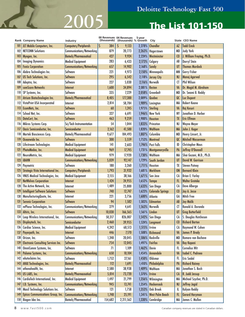# **2005 The List 101-150**

|                 | Rank Company Name                          | Industry                      |                | 00 Revenues 04 Revenues<br>(thousands) (thousands) % Growth | 5-year            | City                     |            | State CEO Name            |
|-----------------|--------------------------------------------|-------------------------------|----------------|-------------------------------------------------------------|-------------------|--------------------------|------------|---------------------------|
| 101             | JLT Mobile Computers, Inc.                 | Computers/Peripherals         | $\zeta$<br>384 | \$<br>9,133                                                 | 2,278%            | <b>Chandler</b>          | AZ         | <b>Todd Einck</b>         |
| 102             | <b>NETCONN Solutions</b>                   | Communications/Networking     | 879            | 20,773                                                      | 2,263%            | Hagerstown               | <b>MD</b>  | <b>Judy York</b>          |
| 103             | Myogen, Inc.                               | <b>Biotech/Pharmaceutical</b> | 427            | 9,924                                                       | 2,224%            | Westminster              | $\epsilon$ | J. William Freytag, Ph.D. |
| 104             | <b>Imaging Dynamics</b>                    | <b>Medical Equipment</b>      | 283            | 6,433                                                       | 2,173%            | Calgary                  | AB         | <b>Darryl Stein</b>       |
| 105             | <b>Fonix Corporation</b>                   | Communications/Networking     | 657            | 14,902                                                      | 2,168%            | Sandy                    | UT         | <b>Thomas Murdock</b>     |
| 106             | Alebra Technologies Inc.                   | Software                      | 221            | 4,973                                                       | 2,150%            | Minneapolis              | <b>MN</b>  | Gerry Fisher              |
| 10 <sub>7</sub> | US Tech Solutions, Inc.                    | <b>Software</b>               | 295            | 6,542                                                       |                   | 2,118% Jersey City       | <b>NJ</b>  | Manoj Agarwal             |
| 108             | Adeptra, Inc.                              | Software                      | 227            | 5,030                                                       | 2,116%            | <b>Norwalk</b>           | <b>CT</b>  | <b>Phil Wilson</b>        |
| 109             | comScore Networks                          | Internet                      | 1,600          | 34,894                                                      | 2,081% Reston     |                          | VA         | Dr. Magid M. Abraham      |
| 110             | SP Systems, Inc.                           | Software                      | 335            | 7,229                                                       |                   | 2,058% Greenbelt         | <b>MD</b>  | Dr. Swami B. Reddy        |
| $\mathbf{m}$    | Atrium Biotechnologies Inc.                | <b>Biotech/Pharmaceutical</b> | 8,405          | 177,300                                                     | 2,009%            | Quebec                   | QC         | Luc Dupont                |
| 112             | VistaPrint USA Incorporated                | Internet                      | 2,814          | 58,784                                                      | 1,989%            | Lexington                | MA         | <b>Robert Keane</b>       |
| 113             | EcomNets, Inc.                             | Software                      | 60             | 1,245                                                       |                   | 1,975% Sterling          | VA         | Raj Kosuri                |
| 114             | School Net, Inc.                           | Software                      | 327            | 6,691                                                       | 1,946%            | New York                 | <b>NY</b>  | Jonathan D. Harber        |
| 115             | DataCert, Inc.                             | <b>Software</b>               | 463            | 9,259                                                       | $1,900\%$         | <b>Houston</b>           | <b>TX</b>  | <b>Eric Elfman</b>        |
| 116             | Mikros Systems Corp.                       | Sci/Tech Instrumentation      | 54             | 1,044                                                       |                   | 1,833% Princeton         | NJ         | <b>Wayne Meyer</b>        |
| $\overline{11}$ | <b>Oasis Semiconductor, Inc.</b>           | Semiconductor                 | 2,162          | 41,500                                                      | 1,820%            | Waltham                  | <b>MA</b>  | John J. Koger             |
| 118             | Martek Biosciences Corp.                   | Biotech/Pharmaceutical        | 9,677          | 184,493                                                     | 1,807%            | Columbia                 | <b>MD</b>  | Henry Linsert, Jr.        |
| 119             | Oceanwide Inc.                             | <b>Software</b>               | 300            | 5,559                                                       |                   | 1,753%   Montreal        | QC         | <b>Mitchell Wasserman</b> |
| 120             | Lifestream Technologies                    | <b>Medical Equipment</b>      | 4              | 2,603                                                       | 1,746%            | Post Falls               | ID         | <b>Christopher Maus</b>   |
| 2               | PhotoMedex, Inc.                           | <b>Medical Equipment</b>      | 969            | 17,745                                                      |                   | 1,731%   Montgomeryville | PA         | Jeffrey O'Donnell         |
| 122             | NeuroMetrix, Inc.                          | <b>Medical Equipment</b>      | 979            | 17,920                                                      | 1,730%            | Waltham                  | MA         | Shai Gozani, M.D., Ph.D.  |
| 123             | <b>iBAHN</b>                               | Communications/Networking     | 5,039          | 92,147                                                      | 1,729%            | South Jordan             | UT         | <b>David W. Garrison</b>  |
| 124             | Paymetric                                  | Software                      | 180            | 3,260                                                       | 1,711%            | Houston                  | TX         | <b>Steven Putney</b>      |
| 125             | Strategic Vista International Inc.         | Computers/Peripherals         | 1,793          | 31,932                                                      |                   | 1,681%   Markham         | <b>ON</b>  | <b>Bernard Klein</b>      |
| 126             | VNUS Medical Technologies, Inc.            | <b>Medical Equipment</b>      | 2,155          | 38,166                                                      | 1,671%            | San Jose                 | CA         | <b>Brian E. Farley</b>    |
| 127             | <b>NetWolves Corporation</b>               | Internet                      | 1,424          | 24,955                                                      | 1,652%            | Tampa                    | FL         | <b>Walter Groteke</b>     |
| 128             | The Active Network, Inc.                   | Internet                      | 1,489          | 25,800                                                      | 1,633%            | San Diego                | CA         | Dave Alberga              |
| 129             | <b>Intelligent Software Solutions</b>      | Software                      | 740            | 12,747                                                      | 1,623%            | <b>Colorado Springs</b>  | $\epsilon$ | Jay A. Jesse              |
| 130             | ManufacturingQuote, Inc.                   | Internet                      | 221            | 3,756                                                       | $1,600\%$         | Atlanta                  | GA         | Mitch Free                |
| 13              | <b>Serenic Corporation</b>                 | Software                      | 94             | 1,582                                                       | 1,583%            | <b>Edmonton</b>          | AB         | <b>Jay Malik</b>          |
| 132             | mPhase Technologies, Inc.                  | Communications/Networking     | 279            | 4,641                                                       |                   | 1,563% Norwalk           | CT         | Ronald A. Durando         |
| 133             | Altiris, Inc.                              | Software                      | 10,030         | 166,565                                                     | $1,561\%$ Lindon  |                          | UT         | <b>Greg Butterfield</b>   |
|                 | 134 Leap Wireless International, Inc.      | Communications/Networking     | 50,317         | 826,007                                                     |                   | $1,542\%$ San Diego      | CA         | S. Douglas Hutcheson      |
| 135             | Displaytech, Inc.                          | Semiconductor                 | 2,460          | 39,955                                                      |                   | $1,524\%$ Longmont       | $\epsilon$ | <b>Richard Barton</b>     |
| 136             | Cardiac Science, Inc.                      | <b>Medical Equipment</b>      | 4,242          | 68,513                                                      | $1,515%$ Irvine   |                          | СA         | Raymond W. Cohen          |
| 137             | Payerpath, Inc.                            | Internet                      | 446            | 7,170                                                       |                   | 1,508% Richmond          | VA         | <b>James P. Brady</b>     |
| 138             | Orizon, Inc.                               | Software                      | 1,248          | 20,045                                                      |                   | 1,506% Rockville         | <b>MD</b>  | Romero van Bochove        |
| 139             | <b>Electronic Consulting Services Inc.</b> | Software                      | 754            | 12,045                                                      | $1,497\%$ Fairfax |                          | <b>VA</b>  | <b>Roy Kapani</b>         |
| 140             | OmniComm Systems, Inc.                     | Software                      | 71             | 1,109                                                       | $1,462%$ Davie    |                          | FL.        | <b>Cornelius Wit</b>      |
| 4               | Paloma Systems, Inc.                       | Communications/Networking     | 650            | 10,104                                                      |                   | 1,454% Annandale         | <b>VA</b>  | <b>Isabel C. Pedroeo</b>  |
| 142             | eAutoclaims Inc.                           | Software                      | 1,752          | 27,161                                                      | 1,450%            | <b>Oldsmar</b>           | FL.        | <b>Eric Seidel</b>        |
| 143             | <b>AVAX Technologies, Inc.</b>             | <b>Biotech/Pharmaceutical</b> | 112            | 1,691                                                       | 1,410%            | Philadelphia             | PA         | <b>Richard Rainey</b>     |
| 144             | athenahealth, Inc.                         | Internet                      | 2,580          | 38,938                                                      | 1,409%            | Waltham                  | <b>MA</b>  | Jonathan S. Bush          |
| 145             | US LABS, Inc.                              | <b>Biotech/Pharmaceutical</b> | 5,014          | 73,720                                                      | 1,370%            | <b>Irvine</b>            | CA         | R. Judd Jessup            |
| 146             | CardioTech International, Inc.             | <b>Medical Equipment</b>      | 1,497          | 21,799                                                      | 1,356%            | Wilmington               | MA         | Michael Szycher, Ph.D.    |
| 147             | I.D. Systems, Inc.                         | Communications/Networking     | 945            | 13,741                                                      |                   | 1,354%   Hackensack      | <b>NJ</b>  | Jeffrey Jagid             |
| 148             | Maxil Technology Solutions Inc.            | Software                      | 121            | 1,758                                                       | 1,353%            | Oak Brook                | IL         | <b>Kalyan Reddy</b>       |
| 149             | <b>Epicus Communications Group, Inc.</b>   | Communications/Networking     | 1,748          | 25,191                                                      |                   | 1,341%   West Palm Beach | FL         | <b>Gerard Haryman</b>     |
| 150             | Biogen Idec Inc.                           | Biotech/Pharmaceutical        | 154,682        | 2,211,562                                                   | 1,330%            | Cambridge                | MA         | James C. Mullen           |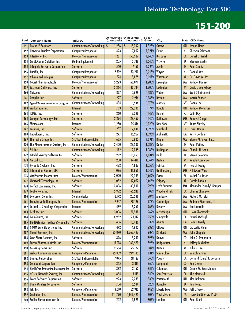|                 | Rank Company Name                            | Industry                      | (thousands) | 00 Revenues 04 Revenues<br>(thousands) % Growth | 5-year    | City                  |                | <b>State CEO Name</b>     |
|-----------------|----------------------------------------------|-------------------------------|-------------|-------------------------------------------------|-----------|-----------------------|----------------|---------------------------|
| 151             | <b>Protus IP Solutions</b>                   | Communications/Networking     | S<br>1,286  | 18,362<br>S                                     | 1,328%    | <b>Ottawa</b>         | <b>ON</b>      | <b>Joseph Nour</b>        |
| 152             | <b>Universal Display Corporation</b>         | Computers/Peripherals         | 493         | 7,007                                           | 1,321%    | Ewing                 | NJ             | Sherwin Seligsohn         |
| 153             | InterMune, Inc.                              | <b>Biotech/Pharmaceutical</b> | 11,201      | 150,987                                         | 1,248%    | <b>Brisbane</b>       | <b>CA</b>      | Daniel G. Welch           |
| 154             | <b>CardioComm Solutions Inc.</b>             | <b>Medical Equipment</b>      | 205         | 2,746                                           | 1,240%    | Victoria              | BC             | <b>Stephen Martin</b>     |
| 155             | <b>Infoglide Software Corporation</b>        | <b>Software</b>               | 540         | 7,150                                           | 1,224%    | <b>Austin</b>         | <b>TX</b>      | <b>Peter Shultz</b>       |
| 156             | Audible, Inc.                                | Computers/Peripherals         | 2,519       | 33,210                                          | 1,218%    | Wayne                 | NJ             | <b>Donald Katz</b>        |
| 157             | <b>Athena Technologies</b>                   | Computers/Peripherals         | 674         | 8,875                                           | 1,217%    | Warrenton             | VA             | Dr. David W. Vos          |
| 158             | <b>Cubist Pharmaceuticals</b>                | Biotech/Pharmaceutical        | 5,223       | 68,071                                          | 1,203%    | Lexington             | MA             | <b>Michael Bonney</b>     |
| 159             | Exstream Software, Inc.                      | Software                      | 3,364       | 43,744                                          | 1,200%    | Lexington             | KY             | Davis L. Marksbury        |
| 160             | Netspoke                                     | Communications/Networking     | 827         | 10,629                                          | 1,185%    | Woburn                | <b>MA</b>      | <b>Scott D'Entremont</b>  |
| 161             | OpenAir, Inc.                                | <b>Software</b>               | 227         | 2,916                                           | 1,185%    | <b>Boston</b>         | <b>MA</b>      | <b>Morris Panner</b>      |
| 162             | Applied Wireless Identifications Group, Inc. | Communications/Networking     | 434         | 5,546                                           | 1,178%    | Monsey                | <b>NY</b>      | Donny Lee                 |
| 163             | Workstream Inc.                              | Internet                      | 1,753       | 22,339                                          | 1,174%    | Kanata                | <b>ON</b>      | <b>Michael Mullarkey</b>  |
| 164             | iCIMS, Inc.                                  | Software                      | 260         | 3,228                                           | 1,142%    | Hazlet                | NJ             | <b>Colin Day</b>          |
| 165             | <b>Catapult Technology, Ltd.</b>             | Software                      | 2,294       | 28,457                                          | 1,140%    | <b>Bethesda</b>       | <b>MD</b>      | <b>Randy J. Slager</b>    |
| 166             | Mimeo.com                                    | Internet                      | 1,280       | 15,616                                          | 1,120%    | <b>New York</b>       | <b>NY</b>      | <b>Adam Slutsky</b>       |
| 16 <sub>i</sub> | Enamics, Inc.                                | <b>Software</b>               | 237         | 2,840                                           | 1,098%    | <b>Stamford</b>       | Œ              | <b>Faisal Hoque</b>       |
| 168             | Knowlagent, Inc.                             | Software                      | 1,277       | 15,267                                          |           | 1,096% Alpharetta     | GA             | <b>Rusty Gordon</b>       |
| 169             | The Insitu Group, Inc.                       | Sci/Tech Instrumentation      | 655         | 7,802                                           | $1,091\%$ | <b>Bingen</b>         | <b>WA</b>      | Steven M. Sliwa, Ph.D.    |
| 170             | The Planet Internet Services, Inc.           | Communications/Networking     | 2,400       | 28,500                                          | 1,088%    | <b>Dallas</b>         | TX             | <b>Peter Pathos</b>       |
| 171             | <b>S4, Inc.</b>                              | Communications/Networking     | 172         | 2,035                                           | 1,083%    | <b>Burlington</b>     | <b>MA</b>      | Chandu H. Shah            |
| 172             | Citadel Security Software Inc.               | Software                      | 1,292       | 15,253                                          | 1,081%    | Dallas                | TX             | <b>Steven Solomon</b>     |
| 173             | AmCad, LLC                                   | <b>Software</b>               | 1,238       | 14,410                                          | 1,064%    | <b>Reston</b>         | VA             | <b>Ronald Cornelison</b>  |
| 174             | Pyramid Systems, Inc.                        | Software                      | 422         | 4,887                                           | 1,058%    | Fairfax               | VA             | Heu-Li Hwang              |
| 175             | <b>Information Control, LLC</b>              | <b>Software</b>               | 1,036       | 11,863                                          | 1,045%    | Gaithersburg          | <b>MD</b>      | F. Edward Ward            |
| 176             | ViroPharma Incorporated                      | Biotech/Pharmaceutical        | 2,000       | 22,389                                          | 1,019%    | Exton                 | PA             | Michel De Rosen           |
| 177             | Chartwell Technology Inc.                    | <b>Software</b>               | 1,082       | 12,067                                          | 1,015%    | Calgary               | AB             | <b>Darold Parken</b>      |
| 178             | Perfect Commerce, Inc.                       | Software                      | 2,806       | 30,800                                          | 998%      | Lee's Summit          | M <sub>0</sub> | Alexander "Sandy" Kemper  |
| 179             | Youbet.com, Inc.                             | Internet                      | 5,992       | 65,249                                          | 989%      | <b>Woodland Hills</b> | $1$            | <b>Charles Champion</b>   |
| 180             | Evergreen Solar, Inc.                        | Semiconductor                 | 2,172       | 23,536                                          | 984%      | Marlboro              | MA             | <b>Richard M. Feldt</b>   |
| 8               | Transkaryotic Therapies, Inc.                | <b>Biotech/Pharmaceutical</b> | 7,247       | 78,126                                          | 978%      | Cambridge             | <b>MA</b>      | Rodman Moorhead, III      |
| 182             | <b>LocatePLUS Holdings Corporation</b>       | Internet                      | 589         | 6,263                                           | 963%      | <b>Beverly</b>        | MA             | Jon Latorella             |
| 183             | Redknee Inc.                                 | Software                      | 3,006       | 31,938                                          |           | 962% Mississauga      | <b>ON</b>      | Lucas Skoczowski          |
| 184             | PalmSource, Inc.                             | Software                      | 6,962       | 73,117                                          |           | 950% Sunnyvale        | $\overline{A}$ | <b>Patrick McVeigh</b>    |
| 185             | Third Millennium Healthcare Systems, Inc.    | Software                      | 1,486       | 15,440                                          | 939%      | <b>Atlanta</b>        | GA             | <b>Dennis Byerly</b>      |
| 186             | <b>C-COM Satellite Systems Inc.</b>          | Communications/Networking     | 472         | 4,903                                           | 939%      | Ottawa                | <b>ON</b>      | Dr. Leslie Klein          |
| 187             | Nextel Partners, Inc.                        | Communications/Networking     | 135,870     | 1,368,427                                       | 907%      | <b>Kirkland</b>       | <b>WA</b>      | <b>John Chapple</b>       |
| 188             | Case Share Systems, Inc.                     | Software                      | 326         | 3,253                                           | 898%      | Denver                | $\epsilon$     | John C. Tredennick        |
| 189             | Enzon Pharmaceuticals, Inc.                  | <b>Biotech/Pharmaceutical</b> | 17,018      | 169,571                                         |           | 896%   Bridgewater    | <b>NJ</b>      | Jeffrey Buchalter         |
| 190             | Access Systems, Inc.                         | Software                      | 2,554       | 25,127                                          | 884%      | <b>Reston</b>         | VA             | Julie S. Lee              |
| 191             | <b>WebEx Communications, Inc.</b>            | Computers/Peripherals         | 25,389      | 249,133                                         | 881%      | Santa Clara           | $0$            | Subrah S. Iyar            |
| 192             | <b>Digirad Corporation</b>                   | Sci/Tech Instrumentation      | 7,075       | 68,137                                          | 863%      | Poway                 | CA             | Gerhard (Gary) F. Burbach |
| 193             | <b>Conduant Corporation</b>                  | Computers/Peripherals         | 345         | 3,311                                           | 860%      | Longmont              | $\omega$       | <b>Ken Owens</b>          |
| 194             | HealthCare Transaction Processors, Inc.      | Software                      | 332         | 3,162                                           | 852%      | Columbus              | OH             | Dennis W. Swartzlander    |
| 195             | nCircle Network Security, Inc.               | Communications/Networking     | 864         | 8,119                                           | 840%      | <b>San Francisco</b>  | <b>CA</b>      | Abe Kleinfeld             |
| 196             | <b>Ecora Software Corporation</b>            | Software                      | 993         | 9,239                                           | 830%      | Portsmouth            | <b>NH</b>      | Alex Bakman               |
| 197             | <b>Unity Wireless Corporation</b>            | <b>Software</b>               | 704         | 6,534                                           | 828%      | <b>Burnaby</b>        | BC             | <b>Ilan Kenig</b>         |
| 198             | ISR, Inc.                                    | Computers/Peripherals         | 3,610       | 32,912                                          | 812%      | <b>Liberty Lake</b>   | <b>WA</b>      | Jeff L. Severs            |
| 199             | Cephalon, Inc.                               | <b>Biotech/Pharmaceutical</b> | 111,790     | 1,015,425                                       | 808%      | <b>West Chester</b>   | PA             | Frank Baldino, Jr., Ph.D. |
| 200             | Stellar Phramaceuticals Inc.                 | Biotech/Pharmaceutical        | 202         | 1,829                                           | 805%      | London                | <b>ON</b>      | <b>Peter Riehl</b>        |

Canadian company revenues are stated in Canadian dollars. **9** and the canadian company revenues are stated in Canadian dollars.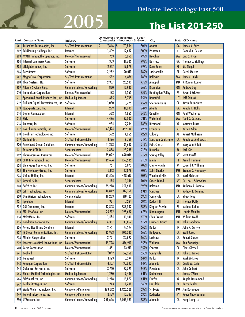# **2005 The List 201-250**

 $\overline{\phantom{a}}$ 

|     | Rank Company Name                          | Industry                      |              | 00 Revenues 04 Revenues<br>(thousands) (thousands) % Growth | 5-year | City                     |                 | State CEO Name             |
|-----|--------------------------------------------|-------------------------------|--------------|-------------------------------------------------------------|--------|--------------------------|-----------------|----------------------------|
| 201 | TurboChef Technologies, Inc.               | Sci/Tech Instrumentation      | \$<br>7,846  | 70,894<br>IS                                                | 804%   | Atlanta                  | GA              | <b>James K. Price</b>      |
| 202 | <b>EduNeering Holdings, Inc.</b>           | Internet                      | 1,409        | 12,687                                                      | 800%   | Princeton                | NJ              | Donald A. Deieso           |
| 203 | <b>AVANT Immunotherapeutics, Inc.</b>      | <b>Biotech/Pharmaceutical</b> | 763          | 6,859                                                       | 799%   | <b>Needham</b>           | <b>MA</b>       | <b>Una S. Ryan</b>         |
| 204 | Internet Commerce Corp.                    | Software                      | 1,303        | 11,705                                                      | 798%   | <b>Norcross</b>          | GA              | <b>Thomas J. Stallings</b> |
| 205 | eNeighborhoods, Inc.                       | Software                      | 2,217        | 19,879                                                      | 797%   | <b>Boca Raton</b>        | F <sub>L</sub>  | <b>Stu Siegel</b>          |
| 206 | Recruitmax                                 | Software                      | 2,252        | 20,011                                                      | 789%   | Jacksonville             | FL              | Derek Mercer               |
| 207 | <b>MagnaDrive Corporation</b>              | Sci/Tech Instrumentation      | 552          | 4,876                                                       | 783%   | <b>Bellevue</b>          | <b>WA</b>       | James J. Cich              |
| 208 | Chay Systems, Ltd.                         | Software                      | 2,907        | 25,539                                                      | 779%   | <b>Annapolis</b>         | <b>MD</b>       | V. Raman Kumar             |
| 209 | Atlantis Systems Corp.                     | Communications/Networking     | 1,850        | 15,943                                                      | 762%   | <b>Brampton</b>          | <b>ON</b>       | <b>Andrew Day</b>          |
| 210 | <b>Immunicon Corporation</b>               | Biotech/Pharmaceutical        | 183          | 1,565                                                       | 755%   | <b>Huntingdon Valley</b> | PA              | <b>Edward Erickson</b>     |
| 211 | Specialized Health Products Int'l, Inc.    | <b>Medical Equipment</b>      | 675          | 5,765                                                       | 754%   | <b>Bountiful</b>         | UT              | <b>Jeff Soinski</b>        |
| 212 | Brilliant Digital Entertainment, Inc.      | Software                      | 1,030        | 8,775                                                       | 752%   | Sherman Oaks             | CA              | <b>Kevin Bermeister</b>    |
| 213 | Quickparts.com, Inc.                       | <b>Internet</b>               | 1,299        | 11,009                                                      | 747%   | Atlanta                  | GA              | <b>Ronald L. Hollis</b>    |
|     | <b>Digital Connexxions</b>                 |                               | 552          |                                                             | 745%   | <b>Oakville</b>          | <b>ON</b>       | <b>Paul Westhorpe</b>      |
| 214 |                                            | Internet                      |              | 4,665                                                       |        | Wakefield                |                 | <b>Todd C. Cozzens</b>     |
| 215 | Picis                                      | Software<br>Software          | 4,436<br>934 | 37,302                                                      | 741%   | Richmond                 | <b>MA</b><br>VA | <b>Matthew Ernst</b>       |
| 216 | Amentra, Inc.                              |                               |              | 7,784                                                       | 733%   |                          |                 |                            |
| 217 | Kos Pharmaceuticals, Inc.                  | <b>Biotech/Pharmaceutical</b> | 60,174       | 497,104                                                     | 726%   | Cranbury                 | <b>NJ</b>       | <b>Adrian Adams</b>        |
| 218 | Glenbriar Technologies Inc.                | Software                      | 592          | 4,865                                                       | 722%   | Calgary                  | AB              | <b>Robert Matheson</b>     |
| 219 | Clarient, Inc.                             | Sci/Tech Instrumentation      | 1,196        | 9,769                                                       | 717%   | San Juan Capistrano      | $1$             | Ronald A. Andrews, Jr.     |
| 220 | <b>Arrowhead Global Solutions</b>          | Communications/Networking     | 11,253       | 91,657                                                      | 715%   | <b>Falls Church</b>      | VA              | <b>Mary Ann Elliott</b>    |
| 221 | <b>Extreme CCTV Inc.</b>                   | Semiconductor                 | 2,858        | 23,238                                                      | 713%   | <b>Burnaby</b>           | BC              | Jack Gin                   |
| 222 | <b>Pharmaceutical Resources</b>            | Biotech/Pharmaceutical        | 85,022       | 690,016                                                     | 712%   | <b>Spring Valley</b>     | NY              | <b>Scott Tarriff</b>       |
| 223 | <b>SFBC</b> International, Inc.            | Biotech/Pharmaceutical        | 19,694       | 159,585                                                     | 710%   | Miami                    | F <sub>L</sub>  | <b>Arnold Hantman</b>      |
| 224 | <b>Blue Ridge Numerics, Inc.</b>           | Software                      | 751          | 6,073                                                       | 709%   | Charlottesville          | VA              | <b>Edward J. Williams</b>  |
| 225 | The Newberry Group, Inc.                   | Software                      | 2,113        | 17,078                                                      | 708%   | <b>Saint Charles</b>     | M <sub>0</sub>  | <b>Brenda D. Newberry</b>  |
| 226 | United Online, Inc.                        | Internet                      | 55,506       | 448,617                                                     | 708%   | <b>Woodland Hills</b>    | CA              | <b>Mark Goldston</b>       |
| 227 | Crystal IS, Inc.                           | Semiconductor                 | 155          | 1,246                                                       | 704%   | <b>Green Island</b>      | <b>NY</b>       | Dr. Leo J. Schowalter      |
| 228 | SafeNet, Inc.                              | Communications/Networking     | 25,278       | 201,600                                                     | 698%   | Belcamp                  | MD              | Anthony A. Caputo          |
| 229 | SiRF Technology, Inc.                      | Communications/Networking     | 14,842       | 117,368                                                     | 691%   | San Jose                 | <b>CA</b>       | Michael L. Canning         |
| 230 | <b>OmniVision Technologies</b>             | Semiconductor                 | 40,253       | 318,123                                                     | 690%   | Sunnyvale                | CA              | <b>Shaw Hong</b>           |
| 231 | igxglobal                                  | Internet                      | 921          | 7,224                                                       | 684%   | <b>Rocky Hill</b>        | <b>CT</b>       | <b>Thomas Duffy</b>        |
| 232 | GSI Commerce, Inc.                         | Internet                      | 42,808       | 335,332                                                     | 683%   | <b>King of Prussia</b>   | PA              | <b>Michael Rubin</b>       |
| 233 | MGI PHARMA, Inc.                           | <b>Biotech/Pharmaceutical</b> | 25,212       | 195,667                                                     |        | 676%   Bloomington       | <b>MN</b>       | <b>Lonnie Moulder</b>      |
| 234 | MakeMusic! Inc.                            | Software                      | 1,454        | 11,240                                                      |        | 673% Eden Prairie        | MN              | <b>William Wolff</b>       |
| 235 | <b>Goodman Networks Inc.</b>               | Communications/Networking     | 4,387        | 33,867                                                      | 672%   | <b>Farmers Branch</b>    | TX              | John Goodman               |
| 236 | <b>Accuro Healthcare Solutions</b>         | Internet                      | 2,551        | 19,507                                                      | 665%   | Dallas                   | TX              | John K. Carlyle            |
| 237 | j2 Global Communications, Inc.             | Communications/Networking     | 13,933       | 106,343                                                     | 663%   | Hollywood                | CA              | <b>Scott Jarus</b>         |
| 238 | <b>Mindjet Corporation</b>                 | Software                      | 2,721        | 20,692                                                      | 660%   | Larkspur                 | CA              | <b>Robert Gordon</b>       |
| 239 | <b>Inverness Medical Innovations, Inc.</b> | <b>Biotech/Pharmaceutical</b> | 49,728       | 376,910                                                     |        | 658%   Waltham           | MA              | <b>Ron Zwanziger</b>       |
| 240 | <b>Cerus Corporation</b>                   | Biotech/Pharmaceutical        | 1,851        | 13,911                                                      | 652%   | Concord                  | СA              | <b>Claes Glassell</b>      |
| 241 | <b>Cepheid</b>                             | Sci/Tech Instrumentation      | 7,062        | 52,968                                                      | 650%   | Sunnyvale                | $CA$            | John L. Bishop             |
| 242 | Ramquest                                   | Software                      | 1,123        | 8,394                                                       | 647%   | Dallas                   | TX              | <b>Mark McElroy</b>        |
| 243 | <b>Xenogen Corporation</b>                 | Sci/Tech Instrumentation      | 4,137        | 30,883                                                      | 647%   | Alameda                  | $1$             | David W. Carter            |
| 244 | Guidance Software, Inc.                    | Software                      | 3,740        | 27,795                                                      | 643%   | Pasadena                 | CA              | John Colbert               |
| 245 | <b>Bioject Medical Technologies, Inc.</b>  | <b>Medical Equipment</b>      | 1,280        | 9,486                                                       |        | 641%   Bedminster        | <b>NJ</b>       | James O'Shea               |
| 246 | SiloSmashers, Inc.                         | Communications/Networking     | 2,278        | 16,872                                                      | 641%   | Fairfax                  | VA              | Angela Drummond            |
| 247 | Really Strategies, Inc.                    | Software                      | 243          | 1,798                                                       | 640%   | Lansdale                 | PA              | <b>Barry Bealer</b>        |
| 248 | World Wide Technology, Inc.                | Computers/Peripherals         | 193,012      | 1,426,526                                                   | 639%   | St. Louis                | M <sub>0</sub>  | Jim Kavanaugh              |
| 249 | Patient Infosystems, Inc.                  | Computers/Peripherals         | 2,139        | 15,737                                                      | 636%   | Rochester                | <b>NY</b>       | <b>Roger Chaufournier</b>  |
| 250 | UTStarcom, Inc.                            | Communications/Networking     | 368,646      | 2,703,581                                                   | 633%   | Alameda                  | СA              | <b>Hong Liang Lu</b>       |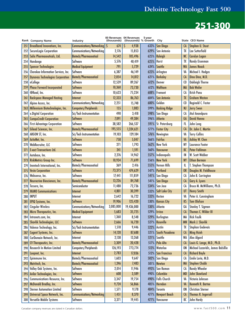|     | Rank Company Name                       | Industry                      | (thousands) | 00 Revenues 04 Revenues<br>(thousands) % Growth | 5-year | City                  |                 | <b>State CEO Name</b>              |
|-----|-----------------------------------------|-------------------------------|-------------|-------------------------------------------------|--------|-----------------------|-----------------|------------------------------------|
| 251 | <b>Broadband Innovations, Inc.</b>      | Communications/Networking     | 674<br>S    | S<br>4,938                                      | 633%   | <b>San Diego</b>      | <b>CA</b>       | Stephen U. Stuut                   |
| 252 | SecureLogix Corporation                 | Communications/Networking     | 2,176       | 15,853                                          | 629%   | San Antonio           | TX              | Lee Sutterfield                    |
| 253 | Salix Pharmaceuticals, Ltd.             | <b>Biotech/Pharmaceutical</b> | 14,542      | 105,496                                         | 625%   | Raleigh               | <b>NC</b>       | <b>Carolyn Logan</b>               |
| 254 | Handango                                | Software                      | 5,576       | 40,419                                          | 625%   | Hurst                 | TX              | Randy Eisenman                     |
| 255 | <b>Spencer Technologies</b>             | <b>Medical Equipment</b>      | 791         | 5,729                                           | 624%   | Seattle               | <b>WA</b>       | <b>James Noack</b>                 |
| 256 | Cherokee Information Services, Inc.     | Software                      | 6,387       | 46,149                                          | 623%   | Arlington             | VA              | Michael I. Hodges                  |
| 257 | <b>Dynavax Technologies Corporation</b> | <b>Biotech/Pharmaceutical</b> | 2,054       | 14,812                                          | 621%   | <b>Berkeley</b>       | <b>CA</b>       | Dino Dina, M.D.                    |
| 258 | eCollege                                | Software                      | 12,539      | 89,267                                          | 612%   | Denver                | C <sub>0</sub>  | <b>Oakleigh Thorne</b>             |
| 259 | <b>Phase Forward Incorporated</b>       | Software                      | 10,360      | 73,730                                          | 612%   | Waltham               | <b>MA</b>       | <b>Bob Weiler</b>                  |
| 260 | @Road, Inc.                             | Software                      | 10,623      | 75,234                                          | 608%   | Fremont               | CA              | Krish Panu                         |
| 261 | <b>Rackspace Managed Hosting</b>        | Internet                      | 12,333      | 86,763                                          | 604%   | <b>San Antonio</b>    | TX              | <b>Graham Weston</b>               |
| 262 | Alpine Access, Inc.                     | Communications/Networking     | 2,251       | 15,748                                          | 600%   | Golden                | C <sub>0</sub>  | Reginald C. Foster                 |
| 263 | Millennium Biotechnologies, Inc.        | Computers/Peripherals         | 155         | 1,083                                           | 599%   | <b>Basking Ridge</b>  | <b>NJ</b>       | <b>Jerry Swon</b>                  |
| 264 | e.Digital Corporation                   | Sci/Tech Instrumentation      | 490         | 3,418                                           | 598%   | San Diego             | CA              | Atul Anandpura                     |
| 265 | <b>CompuCredit Corporation</b>          | <b>Software</b>               | 7,091       | 49,384                                          | 596%   | <b>Atlanta</b>        | GA              | <b>David Hanna</b>                 |
| 266 | <b>First Advantage Corporation</b>      | Software                      | 38,582      | 266,537                                         | 591%   | St. Petersburg        | FL              | John Long                          |
|     |                                         |                               |             |                                                 |        |                       |                 | Dr. John C. Martin                 |
| 267 | Gilead Sciences, Inc.                   | <b>Biotech/Pharmaceutical</b> | 195,555     | 1,324,621                                       | 577%   | <b>Foster City</b>    | <b>CA</b><br>VA | <b>Terry Collins</b>               |
| 268 | ARGON ST, Inc.                          | Sci/Tech Instrumentation      | 19,103      | 129,184                                         | 576%   | Newington             |                 |                                    |
| 269 | ActioNet, Inc.                          | <b>Software</b>               | 758         | 5,047                                           | 566%   | Fairfax               | VA              | Ashley W. Chen                     |
| 270 | WebRecruiter, LLC                       | Software                      | 271         | 1,793                                           | 562%   | <b>New York</b>       | <b>NY</b>       | Laurance Footer                    |
| 27  | <b>E-xact Transactions Ltd.</b>         | Software                      | 241         | 1,591                                           | 560%   | Vancouver             | BC              | Peter Fahlman                      |
| 272 | Autobase, Inc.                          | Software                      | 2,276       | 14,962                                          | 557%   | Indianapolis          | IN              | W. Scott Webber                    |
| 273 | RiskMetrics Group Inc.                  | <b>Software</b>               | 10,934      | 71,699                                          | 556%   | <b>New York</b>       | <b>NY</b>       | <b>Ethan Berman</b>                |
| 274 | Immtech International, Inc.             | Biotech/Pharmaceutical        | 369         | 2,416                                           | 555%   | <b>Vernon Hills</b>   | Ш               | T. Stephen Thompson                |
| 275 | <b>Vesta Corporation</b>                | <b>Software</b>               | 73,375      | 474,629                                         | 547%   | Portland              | <b>OR</b>       | Douglas M. Fieldhouse              |
| 276 | Websense, Inc.                          | Software                      | 17,441      | 111,859                                         | 541%   | San Diego             | CA              | John B. Carrington                 |
| 277 | Neurocrine Biosciences, Inc.            | <b>Biotech/Pharmaceutical</b> | 13,226      | 84,768                                          | 541%   | San Diego             | $\mathsf{A}$    | Gary A. Lyons                      |
| 278 | Tessera, Inc.                           | Semiconductor                 | 11,480      | 72,736                                          | 534%   | San Jose              | CA              | Bruce M. McWilliams, Ph.D.         |
| 279 | <b>IKANO Communications</b>             | Internet                      | 4,801       | 30,399                                          | 533%   | <b>Salt Lake City</b> | UT              | <b>Henry Smith</b>                 |
| 280 | <b>INPUT</b>                            | Internet                      | 2,642       | 16,722                                          | 533%   | Reston                | VA              | Peter A. Cunningham                |
| 281 | EPIQ Systems, Inc.                      | <b>Software</b>               | 19,906      | 125,420                                         | 530%   | <b>Kansas City</b>    | KS              | <b>Tom Olofson</b>                 |
| 282 | <b>Cingular Wireless</b>                | Communications/Networking     | 3,085,000   | 19,436,000                                      | 530%   | Atlanta               | GA              | <b>Stanley T. Sigman</b>           |
| 283 | Micro Therapeutics, Inc.                | <b>Medical Equipment</b>      | 5,683       | 35,725                                          |        | 529% Irvine           | $\mathsf{A}$    | <b>Thomas C. Wilder III</b>        |
| 284 | Intranets.com, Inc.                     | Internet                      | 1,360       | 8,548                                           |        | 529% Burlington       | MA              | <b>Rick Faulk</b>                  |
| 285 | <b>Shavlik Technologies, LLC</b>        | <b>Software</b>               | 2,666       | 16,720                                          | 527%   | <b>Roseville</b>      | <b>MN</b>       | Mark J. Shavlik                    |
| 286 | Valence Technology, Inc.                | Sci/Tech Instrumentation      | 1,518       | 9,446                                           | 522%   | Austin                | TX              | Stephan Godevais                   |
| 287 | Cogent Systems, Inc.                    | <b>Software</b>               | 14,120      | 87,688                                          | 521%   | South Pasadena        | $1$             | <b>Ming Hsieh</b>                  |
| 288 | CarDomain Network, Inc.                 | Internet                      | 2,138       | 13,268                                          | 521%   | Seattle               | WA              | Alex Algard                        |
| 289 | CV Therapeutics, Inc.                   | <b>Biotech/Pharmaceutical</b> | 3,309       | 20,428                                          |        | 517% Palo Alto        | <b>CA</b>       | Louis G. Lange, M.D., Ph.D.        |
| 290 | <b>Research In Motion Limited</b>       | Computers/Peripherals         | 126,193     | 773,774                                         | 513%   | Waterloo              | <b>ON</b>       | Michael Lazaridis, James Balsillie |
| 291 | Loopnet, Inc.                           | Internet                      | 2,783       | 17,036                                          | 512%   | <b>San Francisco</b>  | <b>CA</b>       | <b>Richard Boyle</b>               |
| 292 | Epimmune Inc.                           | Biotech/Pharmaceutical        | 1,603       | 9,647                                           | 502%   | San Diego             | CA              | Emile Loria, M.D.                  |
| 293 | Matritech, Inc.                         | <b>Biotech/Pharmaceutical</b> | 1,246       | 7,483                                           | 501%   | <b>Newton</b>         | <b>MA</b>       | <b>Stephen Chubb</b>               |
| 294 | Valley Oak Systems, Inc.                | Software                      | 2,014       | 11,946                                          | 493%   | <b>San Ramon</b>      | CA              | <b>Randy Wheeler</b>               |
| 295 | Avilar Technologies, Inc.               | <b>Software</b>               | 608         | 3,589                                           |        | 490% Columbia         | <b>MD</b>       | John Skowlund                      |
| 296 | Communications Resource, Inc.           | Software                      | 3,347       | 19,754                                          |        | 490%   Falls Church   | VA              | Victoria Johnson                   |
| 297 | McDonald Bradley, Inc.                  | <b>Software</b>               | 9,724       | 56,866                                          | 485%   | Herndon               | VA              | <b>Kenneth R. Bartee</b>           |
| 298 | <b>Sterner Automation Limited</b>       | Software                      | 1,571       | 9,178                                           | 484%   | <b>Toronto</b>        | <b>ON</b>       | <b>Christian Sterner</b>           |
| 299 | Universal Space Network, Inc.           | Communications/Networking     | 1,451       | 8,370                                           | 477%   | <b>Newport Beach</b>  | $\mathsf{A}$    | <b>Thomas R. Ingersoll</b>         |
| 300 | <b>Versatile Mobile Systems</b>         | Software                      | 3,371       | 19,445                                          | 477%   | Vancouver             | BC              | John Hardy                         |

Canadian company revenues are stated in Canadian dollars.  $\blacksquare$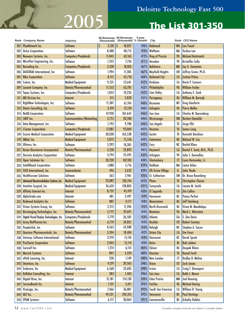# **2005 The List 301-350**

 $\overline{\phantom{a}}$ 

|     | Rank Company Name                               | Industry                      | (thousands) | 00 Revenues 04 Revenues<br>(thousands) % Growth | 5-year     | City                     |            | State CEO Name               |
|-----|-------------------------------------------------|-------------------------------|-------------|-------------------------------------------------|------------|--------------------------|------------|------------------------------|
| 301 | PlayNetwork Inc.                                | Software                      | Ś<br>3,130  | 18,027<br>S                                     | 476%       | Redmond                  | <b>WA</b>  | <b>Lon Troxel</b>            |
| 302 | <b>Unica Corporation</b>                        | Software                      | 8,488       | 48,715                                          | 474%       | Waltham                  | MA         | Yuchun Lee                   |
| 303 | Neoware Systems, Inc.                           | Computers/Peripherals         | 11,045      | 63,165                                          | 472%       | <b>King of Prussia</b>   | PA         | <b>Michael Kantrowitz</b>    |
| 304 | MicroPact Engineering, Inc.                     | Software                      | 1,353       | 7,724                                           | 471%       | Herndon                  | VA         | Kristoffer Collo             |
| 305 | <b>Barcoding Inc.</b>                           | Computers/Peripherals         | 3,328       | 18,876                                          | 467%       | <b>Baltimore</b>         | <b>MD</b>  | Jay A. Steinmetz             |
| 306 | DATATRAK International, Inc.                    | Software                      | 1,994       | 11,305                                          | 467%       | <b>Mayfield Heights</b>  | OH         | Jeffrey Green, Ph.D.         |
| 307 | <b>Niku Corporation</b>                         | <b>Software</b>               | 8,157       | 45,710                                          | 460%       | <b>Redwood City</b>      | $CA$       | Joshua Pickus                |
| 308 | Cutera, Inc.                                    | <b>Medical Equipment</b>      | 9,531       | 52,641                                          | 452%       | <b>Brisbane</b>          | CA         | Kevin P. Connors             |
| 309 | Lannett Company, Inc.                           | <b>Biotech/Pharmaceutical</b> | 11,553      | 63,781                                          | 452%       | Philadelphia             | PA         | <b>William Farber</b>        |
| 310 | Topaz Systems, Inc.                             | Computers/Peripherals         | 1,853       | 10,226                                          | 452%       | Simi Valley              | CA         | Anthony E. Zank              |
| 311 | <b>MD</b> On-Line Inc.                          | Internet                      | 515         | 2,839                                           | 451%       | Parsippany               | <b>NJ</b>  | William M. Bartzak           |
| 312 | RightNow Technologies, Inc.                     | Software                      | 11,307      | 61,764                                          | 446%       | Bozeman                  | M          | <b>Greg Gianforte</b>        |
| 313 | Dante Consulting, Inc.                          | <b>Software</b>               | 2,474       | 13,510                                          | 446%       | Arlington                | VA         | <b>Pierre Malko</b>          |
| 314 | <b>NetIQ Corporation</b>                        | Software                      | 47,920      | 261,645                                         | 446%       | San Jose                 | CA         | Charles M. Boesenberg        |
| 315 | SIRIT Inc.                                      | Communications/Networking     | 3,755       | 20,500                                          | 446%       | Mississauga              | <b>ON</b>  | <b>Norbert Dawalibi</b>      |
| 316 | Data Management, Inc.                           | Software                      | 1,792       | 9,780                                           | 446%       | San Angelo               | TX         | Jorge Ellis                  |
| 317 | <b>I-Sector Corporation</b>                     | Computers/Peripherals         | 17,087      | 93,069                                          | 445%       | <b>Houston</b>           | TX         | <b>James Long</b>            |
| 318 | <b>Encore Medical Corporation</b>               | <b>Medical Equipment</b>      | 30,028      | 163,538                                         | 445%       | Austin                   | TX         | <b>Kenneth Davidson</b>      |
| 319 | QMed, Inc.                                      | <b>Medical Equipment</b>      | 2,872       | 15,576                                          | 442%       | Eatontown                | <b>NJ</b>  | Michael W. Cox               |
| 320 | Ultimus, Inc.                                   | Software                      | 3,392       | 18,385                                          | 442%       | Cary                     | <b>NC</b>  | <b>Rashid Khan</b>           |
| 321 | <b>Kosan Biosciences Incorporated</b>           | <b>Biotech/Pharmaceutical</b> | 4,230       | 22,892                                          | 441%       | Hayward                  | <b>CA</b>  | Daniel V. Santi, M.D., Ph.D. |
| 322 | <b>Decisive Analytics Corporation</b>           | Software                      | 4,794       | 25,495                                          | 432%       | Arlington                | VA         | John S. Donnellon            |
| 323 | <b>Open Solutions Inc.</b>                      | Software                      | 20,220      | 107,183                                         | 430%       | Glastonbury              | <b>CT</b>  | Louis Hernandez, Jr.         |
| 324 | <b>IntelliReach Corporation</b>                 | Software                      | 1,080       | 5,716                                           | 429%       | Dedham                   | MA         | <b>Lance Urbas</b>           |
| 325 | <b>ISCO</b> International, Inc.                 | Semiconductor                 | 496         | 2,622                                           | 429%       | <b>Elk Grove Village</b> | IL         | <b>John Thode</b>            |
| 326 | <b>Healthscreen Solutions</b>                   | Software                      | 563         | 2,961                                           | 426%       | <b>St. Catharines</b>    | <b>ON</b>  | Dr. Bruce Rosenberg          |
| 327 | Advanced Neuromodulation Systems, Inc.          | <b>Medical Equipment</b>      | 23,082      | 120,744                                         | 423%       | Plano                    | TX         | <b>Christopher Chavez</b>    |
| 328 | Intuitive Surgical, Inc.                        | <b>Medical Equipment</b>      | 26,624      | 138,803                                         | 421%       | Sunnyvale                | CA         | Lonnie M. Smith              |
| 329 | Affinity Internet Inc.                          | Internet                      | 8,737       | 45,419                                          | 420%       | El Segundo               | $CA$       | <b>Jim Collins</b>           |
| 330 | AlphaTrade.com                                  | Internet                      | 481         | 2,497                                           | 419%       | Vancouver                | BC         | <b>Penny Perfect</b>         |
| 331 | <b>Redwood Analytics Inc.</b>                   | Software                      | 807         | 4,177                                           | 418%       | <b>Moorestown</b>        | <b>NJ</b>  | <b>Jeff Steinberg</b>        |
| 332 | Vision Systems Group, Inc.                      | Software                      | 2,215       | 11,396                                          | 414%       | North Brunswick          | NJ         | Viswa M. Mandalapu           |
| 333 | <b>Bio-Imaging Technologies, Inc.</b>           | <b>Biotech/Pharmaceutical</b> | 5,772       | 29,691                                          |            | 414% Newtown             | PA         | Mark L. Weinstein            |
|     | 334   Digital Visual Display Technologies, Inc. | Computers/Peripherals         | 5,170       | 26,585                                          |            | 414% Atlanta             | GΑ         | S. Dee Davis                 |
| 335 | Array BioPharma Inc.                            | Biotech/Pharmaceutical        | 6,774       | 34,831                                          | 414%       | Boulder                  | $\epsilon$ | <b>Robert Conway</b>         |
| 336 | Peopleclick, Inc.                               | Software                      | 8,563       | 43,988                                          | 414%       | Raleigh                  | NC         | Stephen A. Sasser            |
| 337 | Questcor Pharmaceuticals, Inc.                  | <b>Biotech/Pharmaceutical</b> | 3,594       | 18,404                                          |            | 412% Union City          | CA         | <b>Jim Fares</b>             |
| 338 | <b>Intrinsyc Software International</b>         | Software                      | 2,974       | 15,176                                          | 410%       | Vancouver                | BC         | <b>Derek Spratt</b>          |
| 339 | <b>ProClarity Corporation</b>                   | Software                      | 2,964       | 15,114                                          | 410% Boise |                          | ID         | <b>Bob Lokken</b>            |
| 340 | Caresoft Inc.                                   | Software                      | 1,214       | 6,114                                           |            | 404% Edison              | NJ         | Deepak Khare                 |
| 341 | <b>Merrick Systems</b>                          | <b>Software</b>               | 865         | 4,329                                           | 400%       | Houston                  | <b>TX</b>  | <b>Kemal Farid</b>           |
| 342 | ePath Learning, Inc.                            | Internet                      | 230         | 1,149                                           | 400%       | New London               | C          | Dudley B. Molina             |
| 343 | Omniture, Inc.                                  | Software                      | 4,129       | 20,565                                          | 398%       | <b>Orem</b>              | UT         | <b>Josh James</b>            |
| 344 | Endocare, Inc.                                  | <b>Medical Equipment</b>      | 6,568       | 32,685                                          | 398%       | Irvine                   | CA         | Craig T. Davenport           |
| 345 | Kollabra Consulting, Inc.                       | Internet                      | 283         | 1,405                                           |            | 396% San Jose            | $CA$       | Robb J. Moore                |
| 346 | Digital River, Inc.                             | Internet                      | 31,181      | 154,130                                         |            | 394% Eden Prairie        | <b>MN</b>  | Joel Ronning                 |
| 347 | ServiceBench Inc.                               | Internet                      | 1,137       | 5,611                                           |            | $393\%$ Fairfax          | <b>VA</b>  | <b>Michael Dering</b>        |
| 348 | ViroLogic, Inc.                                 | <b>Biotech/Pharmaceutical</b> | 7,466       | 36,801                                          | 393%       | South San Francisco      | СA         | William D. Young             |
| 349 | QLT Inc.                                        | <b>Biotech/Pharmaceutical</b> | 49,221      | 242,315                                         | 392%       | Vancouver                | BC         | <b>Paul Hastings</b>         |
|     | 350 EPAM Systems                                | Software                      | 6,117       | 30,064                                          |            | 391%   Lawrenceville     | NJ         | <b>Arkadiy Dobkin</b>        |

12 www.fast500.com Canadian company revenues are stated in Canadian dollars.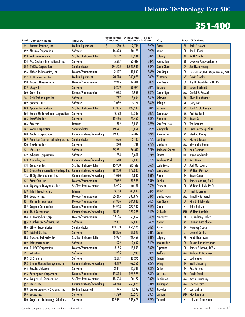| <b>Medical Equipment</b><br>390%<br><b>Jack E. Stover</b><br>Antares Pharma, Inc.<br>S<br>560<br>2,746<br>PA<br>351<br>1S<br><b>Exton</b><br>Software<br>14,323<br>70,175<br>390%<br>Joe E. Kiani<br><b>Masimo Corporation</b><br>CA<br>352<br><b>Irvine</b><br>3,752<br>18,284<br>Calgary<br><b>Keith Smith</b><br>zed.i solutions inc.<br>Sci/Tech Instrumentation<br>387%<br>AB<br>353<br>Saanichton<br>Software<br>5,217<br>25,417<br>387%<br>BC<br>Douglas Vandekerkhove<br>ACD Systems International Inc.<br>354<br>Semiconductor<br>1,822,945<br>387%<br>Santa Clara<br><b>NVIDIA Corporation</b><br>374,505<br>CA<br>Jen-Hsun Huang<br>355<br>Biotech/Pharmaceutical<br>San Diego<br>Althea Technologies, Inc.<br>2,427<br>11,800<br>386%<br>CA<br>356<br>Francois Ferre, Ph.D., Magda Marquet, Ph.D.<br>340,075<br>DHB Industries, Inc.<br><b>Medical Equipment</b><br>70,018<br>386%<br>Westbury<br><b>David Brooks</b><br><b>NY</b><br>357<br>Cypress Bioscience, Inc.<br>Biotech/Pharmaceutical<br>2,975<br>14,414<br>385%<br>San Diego<br>Jay D. Krantzler, M.D., Ph.D.<br>CA<br>358<br>Nashua<br>Software<br>6,209<br>30,074<br><b>NH</b><br><b>Edward Schmid</b><br>384%<br>359<br>eCopy, Inc.<br>Biotech/Pharmaceutical<br>Cambridge<br>Daniel R. Passeri<br>1,023<br>4,953<br>384%<br>MA<br>Curis, Inc.<br>360<br><b>Alvin Hildebrandt</b><br>Software<br>384%<br>Kelowna<br>QHR Technologies Inc.<br>757<br>3,664<br>BC<br>361<br>Software<br>Raleigh<br>1,069<br><b>Gary Ban</b><br>Summus, Inc.<br>5,171<br>384%<br><b>NC</b><br>362<br>199,939<br><b>Todd A. Stottlemyer</b><br><b>Apogen Technologies</b><br>Sci/Tech Instrumentation<br>41,335<br>VA<br>384%<br>McLean<br>363<br><b>Arol Wolford</b><br>Software<br>2,193<br>383%<br>GA<br>Return On Investment Corporation<br>10,587<br>364<br>Kennesaw<br>InterVideo Inc.<br><b>Software</b><br>15,426<br>383%<br>$1$<br><b>Steve Ro</b><br>74,460<br><b>Fremont</b><br>365<br>812<br>376%<br>San Francisco<br>CA<br><b>Ted Bernard</b><br>Savicom<br>3,863<br>366<br>Internet<br>378,864<br>376%<br>Semiconductor<br>79,671<br>Sunnyvale<br>$1$<br>Levy Gerzberg, Ph.D.<br>367<br><b>Zoran Corporation</b><br>Alexandria<br><b>Sterling Phillips</b><br><b>Analex Corporation</b><br>Communications/Networking<br>19,901<br>374%<br>VA<br>368<br>94,417<br><b>Richard Tasker</b><br>American Sensor Technologies, Inc.<br>Semiconductor<br>3,100<br>373%<br>Landing<br><b>NJ</b><br>656<br>369<br>Marlboro<br>Software<br>370<br>372%<br>MA<br>Shylendra Kumar<br>370<br>Datafarm, Inc.<br>1,746<br>Software<br>166,319<br><b>Redwood Shores</b><br><b>Ken Denman</b><br>iPass Inc.<br>35,281<br>371%<br>$1$<br>371<br>Software<br>OH<br>Jason Wadzinski<br>764<br>371%<br><b>Advant-E Corporation</b><br>3,601<br>Dayton<br>372<br>1,670<br>7,843<br>370%<br><b>Newbury Park</b><br>Communications/Networking<br>CA<br><b>Kurt Bauer</b><br>Nomadix, Inc.<br>373<br>Sci/Tech Instrumentation<br>45,930<br>215,612<br><b>Joel Moskowitz</b><br>Ceradyne, Inc.<br>369%<br>Costa Mesa<br>CA<br>374<br>Communications/Networking<br><b>Grande Communications Holdings, Inc.</b><br>38,200<br>179,000<br>369%<br><b>San Marcos</b><br><b>William Morrow</b><br>TX<br>375<br>Plano<br><b>TECSys Development Inc.</b><br>Communications/Networking<br>1,050<br>4,842<br>361%<br>TX<br><b>Steve Cotton</b><br>376<br>SuperGen, Inc.<br>Biotech/Pharmaceutical<br>7,089<br>351%<br><b>Dublin</b><br>31,993<br><b>CA</b><br>James Manuso, Ph.D.<br>377<br>Sci/Tech Instrumentation<br>8,935<br>40,181<br>350%<br>CA<br>William E. Rich, Ph.D.<br>Ciphergen Biosystems, Inc.<br>Fremont<br>378<br>19,183<br>85,809<br>Fred H. Lerner<br>347%<br><b>Irvine</b><br>Ritz Interactive, Inc.<br><b>CA</b><br>Internet<br>379<br><b>Timothy Barberich</b><br>Biotech/Pharmaceutical<br>85,245<br>380,877<br>347%<br>Marlborough<br>MA<br>Sepracor Inc.<br>380<br><b>Biotech/Pharmaceutical</b><br>Kim D. Blickenstaff<br><b>Biosite Incorporated</b><br>54,986<br>244,942<br>345% San Diego<br>CA<br>381<br>Biotech/Pharmaceutical<br><b>NJ</b><br>John Jackson<br>345% Summit<br><b>Celgene Corporation</b><br>84,908<br>377,502<br>382<br>Communications/Networking<br>28,031<br>124,395<br>344% St. Louis<br><b>William Canfield</b><br>M <sub>0</sub><br><b>TALX Corporation</b><br>383<br><b>Biotech/Pharmaceutical</b><br>12,106<br>343% Vancouver<br><b>ID Biomedical Corp.</b><br>53,662<br>BC<br>Dr. Anthony Holler<br>384<br>Number Six Software, Inc.<br>Software<br>2,901<br>12,839<br>343%<br><b>Carmen Facciobene</b><br>Vienna<br>VA<br>385<br>Semiconductor<br>103,103<br><b>Silicon Laboratories</b><br>456,225<br>342%<br>Navdeep Sooch<br>Austin<br>TX<br>386<br>iMERGENT, Inc.<br>Software<br>341%<br><b>Donald Danks</b><br>18,356<br>81,028<br><b>Orem</b><br>UT<br>387<br>341%<br><b>Robb Thompson</b><br>Dynetek Industries Ltd.<br>Sci/Tech Instrumentation<br>5,997<br>26,463<br>Calgary<br>AB<br>388<br>Software<br>592<br>2,602<br>Suresh Radhakrishnan<br>Infospectrum Inc.<br>340% Agoura Hills<br><b>CA</b><br>389<br><b>DURECT Corporation</b><br>Biotech/Pharmaceutical<br>3,155<br>13,853<br>339%<br>Cupertino<br>CA<br>James E. Brown, D.V.M.<br>390<br><b>Software</b><br>285<br>1,243<br>336% Bedford<br>Michael R. Gauthier<br>e-tractions<br><b>MA</b><br>391<br>Software<br>2,817<br>336%<br><b>Eddie Speir</b><br>3t Systems<br>12,276<br>Denver<br>CO<br>392<br>333%<br>Digital Generation Systems, Inc.<br>Communications/Networking<br>14,419<br>62,366<br><b>Scott Ginsburg</b><br><b>Irving</b><br>TX<br>393<br><b>Resulte Universal</b><br>Software<br>2,441<br>10,547<br>332%<br><b>Rex Kurzius</b><br>Dallas<br>TX<br>394<br><b>Serologicals Corporation</b><br><b>Biotech/Pharmaceutical</b><br>45,345<br><b>David Dodd</b><br>195,923<br>332% Norcross<br>GA<br>395<br>Sci/Tech Instrumentation<br>18,564<br>80,127<br>Hopkinton<br>Caliper Life Sciences, Inc.<br>332%<br>MA<br>Kevin Hrusovsky<br>396<br><b>Communications/Networking</b><br>61,218<br>331% Burlington<br>263,878<br>Ofer Gneezy<br>iBasis, Inc.<br><b>MA</b><br>397<br><b>Medical Equipment</b><br>325<br>330%<br><b>Brooklyn</b><br>Leo Ehrlich<br>1,399<br><b>NY</b><br>Saliva Diagnostic Systems, Inc.<br>398<br>Software<br>4,720<br>20,273<br>330%<br><b>Rick Rudman</b><br>Vocus, Inc.<br>Lanham<br><b>MD</b><br>399<br>328%<br><b>NJ</b><br>400 | Rank Company Name                     | Industry | (thousands) | 00 Revenues 04 Revenues<br>(thousands) % Growth | 5-year | City    | State CEO Name    |
|----------------------------------------------------------------------------------------------------------------------------------------------------------------------------------------------------------------------------------------------------------------------------------------------------------------------------------------------------------------------------------------------------------------------------------------------------------------------------------------------------------------------------------------------------------------------------------------------------------------------------------------------------------------------------------------------------------------------------------------------------------------------------------------------------------------------------------------------------------------------------------------------------------------------------------------------------------------------------------------------------------------------------------------------------------------------------------------------------------------------------------------------------------------------------------------------------------------------------------------------------------------------------------------------------------------------------------------------------------------------------------------------------------------------------------------------------------------------------------------------------------------------------------------------------------------------------------------------------------------------------------------------------------------------------------------------------------------------------------------------------------------------------------------------------------------------------------------------------------------------------------------------------------------------------------------------------------------------------------------------------------------------------------------------------------------------------------------------------------------------------------------------------------------------------------------------------------------------------------------------------------------------------------------------------------------------------------------------------------------------------------------------------------------------------------------------------------------------------------------------------------------------------------------------------------------------------------------------------------------------------------------------------------------------------------------------------------------------------------------------------------------------------------------------------------------------------------------------------------------------------------------------------------------------------------------------------------------------------------------------------------------------------------------------------------------------------------------------------------------------------------------------------------------------------------------------------------------------------------------------------------------------------------------------------------------------------------------------------------------------------------------------------------------------------------------------------------------------------------------------------------------------------------------------------------------------------------------------------------------------------------------------------------------------------------------------------------------------------------------------------------------------------------------------------------------------------------------------------------------------------------------------------------------------------------------------------------------------------------------------------------------------------------------------------------------------------------------------------------------------------------------------------------------------------------------------------------------------------------------------------------------------------------------------------------------------------------------------------------------------------------------------------------------------------------------------------------------------------------------------------------------------------------------------------------------------------------------------------------------------------------------------------------------------------------------------------------------------------------------------------------------------------------------------------------------------------------------------------------------------------------------------------------------------------------------------------------------------------------------------------------------------------------------------------------------------------------------------------------------------------------------------------------------------------------------------------------------------------------------------------------------------------------------------------------------------------------------------------------------------------------------------------------------------------------------------------------------------------------------------------------------------------------------------------------------------------------------------------------------------------------------------------------------------------------------------------------------------------------------------------------------------------------------------------------------------------------------------------------------------------------------------------------------------------------------------------------------------------------------------------------------------------------------------------------------------------------------------------------------------------------------------------------------------------------------------------------------------------------------------------------------------------------------------------------------------------------------------------------------------------------------------------------------------------------------|---------------------------------------|----------|-------------|-------------------------------------------------|--------|---------|-------------------|
|                                                                                                                                                                                                                                                                                                                                                                                                                                                                                                                                                                                                                                                                                                                                                                                                                                                                                                                                                                                                                                                                                                                                                                                                                                                                                                                                                                                                                                                                                                                                                                                                                                                                                                                                                                                                                                                                                                                                                                                                                                                                                                                                                                                                                                                                                                                                                                                                                                                                                                                                                                                                                                                                                                                                                                                                                                                                                                                                                                                                                                                                                                                                                                                                                                                                                                                                                                                                                                                                                                                                                                                                                                                                                                                                                                                                                                                                                                                                                                                                                                                                                                                                                                                                                                                                                                                                                                                                                                                                                                                                                                                                                                                                                                                                                                                                                                                                                                                                                                                                                                                                                                                                                                                                                                                                                                                                                                                                                                                                                                                                                                                                                                                                                                                                                                                                                                                                                                                                                                                                                                                                                                                                                                                                                                                                                                                                                                                                                                        |                                       |          |             |                                                 |        |         |                   |
|                                                                                                                                                                                                                                                                                                                                                                                                                                                                                                                                                                                                                                                                                                                                                                                                                                                                                                                                                                                                                                                                                                                                                                                                                                                                                                                                                                                                                                                                                                                                                                                                                                                                                                                                                                                                                                                                                                                                                                                                                                                                                                                                                                                                                                                                                                                                                                                                                                                                                                                                                                                                                                                                                                                                                                                                                                                                                                                                                                                                                                                                                                                                                                                                                                                                                                                                                                                                                                                                                                                                                                                                                                                                                                                                                                                                                                                                                                                                                                                                                                                                                                                                                                                                                                                                                                                                                                                                                                                                                                                                                                                                                                                                                                                                                                                                                                                                                                                                                                                                                                                                                                                                                                                                                                                                                                                                                                                                                                                                                                                                                                                                                                                                                                                                                                                                                                                                                                                                                                                                                                                                                                                                                                                                                                                                                                                                                                                                                                        |                                       |          |             |                                                 |        |         |                   |
|                                                                                                                                                                                                                                                                                                                                                                                                                                                                                                                                                                                                                                                                                                                                                                                                                                                                                                                                                                                                                                                                                                                                                                                                                                                                                                                                                                                                                                                                                                                                                                                                                                                                                                                                                                                                                                                                                                                                                                                                                                                                                                                                                                                                                                                                                                                                                                                                                                                                                                                                                                                                                                                                                                                                                                                                                                                                                                                                                                                                                                                                                                                                                                                                                                                                                                                                                                                                                                                                                                                                                                                                                                                                                                                                                                                                                                                                                                                                                                                                                                                                                                                                                                                                                                                                                                                                                                                                                                                                                                                                                                                                                                                                                                                                                                                                                                                                                                                                                                                                                                                                                                                                                                                                                                                                                                                                                                                                                                                                                                                                                                                                                                                                                                                                                                                                                                                                                                                                                                                                                                                                                                                                                                                                                                                                                                                                                                                                                                        |                                       |          |             |                                                 |        |         |                   |
|                                                                                                                                                                                                                                                                                                                                                                                                                                                                                                                                                                                                                                                                                                                                                                                                                                                                                                                                                                                                                                                                                                                                                                                                                                                                                                                                                                                                                                                                                                                                                                                                                                                                                                                                                                                                                                                                                                                                                                                                                                                                                                                                                                                                                                                                                                                                                                                                                                                                                                                                                                                                                                                                                                                                                                                                                                                                                                                                                                                                                                                                                                                                                                                                                                                                                                                                                                                                                                                                                                                                                                                                                                                                                                                                                                                                                                                                                                                                                                                                                                                                                                                                                                                                                                                                                                                                                                                                                                                                                                                                                                                                                                                                                                                                                                                                                                                                                                                                                                                                                                                                                                                                                                                                                                                                                                                                                                                                                                                                                                                                                                                                                                                                                                                                                                                                                                                                                                                                                                                                                                                                                                                                                                                                                                                                                                                                                                                                                                        |                                       |          |             |                                                 |        |         |                   |
|                                                                                                                                                                                                                                                                                                                                                                                                                                                                                                                                                                                                                                                                                                                                                                                                                                                                                                                                                                                                                                                                                                                                                                                                                                                                                                                                                                                                                                                                                                                                                                                                                                                                                                                                                                                                                                                                                                                                                                                                                                                                                                                                                                                                                                                                                                                                                                                                                                                                                                                                                                                                                                                                                                                                                                                                                                                                                                                                                                                                                                                                                                                                                                                                                                                                                                                                                                                                                                                                                                                                                                                                                                                                                                                                                                                                                                                                                                                                                                                                                                                                                                                                                                                                                                                                                                                                                                                                                                                                                                                                                                                                                                                                                                                                                                                                                                                                                                                                                                                                                                                                                                                                                                                                                                                                                                                                                                                                                                                                                                                                                                                                                                                                                                                                                                                                                                                                                                                                                                                                                                                                                                                                                                                                                                                                                                                                                                                                                                        |                                       |          |             |                                                 |        |         |                   |
|                                                                                                                                                                                                                                                                                                                                                                                                                                                                                                                                                                                                                                                                                                                                                                                                                                                                                                                                                                                                                                                                                                                                                                                                                                                                                                                                                                                                                                                                                                                                                                                                                                                                                                                                                                                                                                                                                                                                                                                                                                                                                                                                                                                                                                                                                                                                                                                                                                                                                                                                                                                                                                                                                                                                                                                                                                                                                                                                                                                                                                                                                                                                                                                                                                                                                                                                                                                                                                                                                                                                                                                                                                                                                                                                                                                                                                                                                                                                                                                                                                                                                                                                                                                                                                                                                                                                                                                                                                                                                                                                                                                                                                                                                                                                                                                                                                                                                                                                                                                                                                                                                                                                                                                                                                                                                                                                                                                                                                                                                                                                                                                                                                                                                                                                                                                                                                                                                                                                                                                                                                                                                                                                                                                                                                                                                                                                                                                                                                        |                                       |          |             |                                                 |        |         |                   |
|                                                                                                                                                                                                                                                                                                                                                                                                                                                                                                                                                                                                                                                                                                                                                                                                                                                                                                                                                                                                                                                                                                                                                                                                                                                                                                                                                                                                                                                                                                                                                                                                                                                                                                                                                                                                                                                                                                                                                                                                                                                                                                                                                                                                                                                                                                                                                                                                                                                                                                                                                                                                                                                                                                                                                                                                                                                                                                                                                                                                                                                                                                                                                                                                                                                                                                                                                                                                                                                                                                                                                                                                                                                                                                                                                                                                                                                                                                                                                                                                                                                                                                                                                                                                                                                                                                                                                                                                                                                                                                                                                                                                                                                                                                                                                                                                                                                                                                                                                                                                                                                                                                                                                                                                                                                                                                                                                                                                                                                                                                                                                                                                                                                                                                                                                                                                                                                                                                                                                                                                                                                                                                                                                                                                                                                                                                                                                                                                                                        |                                       |          |             |                                                 |        |         |                   |
|                                                                                                                                                                                                                                                                                                                                                                                                                                                                                                                                                                                                                                                                                                                                                                                                                                                                                                                                                                                                                                                                                                                                                                                                                                                                                                                                                                                                                                                                                                                                                                                                                                                                                                                                                                                                                                                                                                                                                                                                                                                                                                                                                                                                                                                                                                                                                                                                                                                                                                                                                                                                                                                                                                                                                                                                                                                                                                                                                                                                                                                                                                                                                                                                                                                                                                                                                                                                                                                                                                                                                                                                                                                                                                                                                                                                                                                                                                                                                                                                                                                                                                                                                                                                                                                                                                                                                                                                                                                                                                                                                                                                                                                                                                                                                                                                                                                                                                                                                                                                                                                                                                                                                                                                                                                                                                                                                                                                                                                                                                                                                                                                                                                                                                                                                                                                                                                                                                                                                                                                                                                                                                                                                                                                                                                                                                                                                                                                                                        |                                       |          |             |                                                 |        |         |                   |
|                                                                                                                                                                                                                                                                                                                                                                                                                                                                                                                                                                                                                                                                                                                                                                                                                                                                                                                                                                                                                                                                                                                                                                                                                                                                                                                                                                                                                                                                                                                                                                                                                                                                                                                                                                                                                                                                                                                                                                                                                                                                                                                                                                                                                                                                                                                                                                                                                                                                                                                                                                                                                                                                                                                                                                                                                                                                                                                                                                                                                                                                                                                                                                                                                                                                                                                                                                                                                                                                                                                                                                                                                                                                                                                                                                                                                                                                                                                                                                                                                                                                                                                                                                                                                                                                                                                                                                                                                                                                                                                                                                                                                                                                                                                                                                                                                                                                                                                                                                                                                                                                                                                                                                                                                                                                                                                                                                                                                                                                                                                                                                                                                                                                                                                                                                                                                                                                                                                                                                                                                                                                                                                                                                                                                                                                                                                                                                                                                                        |                                       |          |             |                                                 |        |         |                   |
|                                                                                                                                                                                                                                                                                                                                                                                                                                                                                                                                                                                                                                                                                                                                                                                                                                                                                                                                                                                                                                                                                                                                                                                                                                                                                                                                                                                                                                                                                                                                                                                                                                                                                                                                                                                                                                                                                                                                                                                                                                                                                                                                                                                                                                                                                                                                                                                                                                                                                                                                                                                                                                                                                                                                                                                                                                                                                                                                                                                                                                                                                                                                                                                                                                                                                                                                                                                                                                                                                                                                                                                                                                                                                                                                                                                                                                                                                                                                                                                                                                                                                                                                                                                                                                                                                                                                                                                                                                                                                                                                                                                                                                                                                                                                                                                                                                                                                                                                                                                                                                                                                                                                                                                                                                                                                                                                                                                                                                                                                                                                                                                                                                                                                                                                                                                                                                                                                                                                                                                                                                                                                                                                                                                                                                                                                                                                                                                                                                        |                                       |          |             |                                                 |        |         |                   |
|                                                                                                                                                                                                                                                                                                                                                                                                                                                                                                                                                                                                                                                                                                                                                                                                                                                                                                                                                                                                                                                                                                                                                                                                                                                                                                                                                                                                                                                                                                                                                                                                                                                                                                                                                                                                                                                                                                                                                                                                                                                                                                                                                                                                                                                                                                                                                                                                                                                                                                                                                                                                                                                                                                                                                                                                                                                                                                                                                                                                                                                                                                                                                                                                                                                                                                                                                                                                                                                                                                                                                                                                                                                                                                                                                                                                                                                                                                                                                                                                                                                                                                                                                                                                                                                                                                                                                                                                                                                                                                                                                                                                                                                                                                                                                                                                                                                                                                                                                                                                                                                                                                                                                                                                                                                                                                                                                                                                                                                                                                                                                                                                                                                                                                                                                                                                                                                                                                                                                                                                                                                                                                                                                                                                                                                                                                                                                                                                                                        |                                       |          |             |                                                 |        |         |                   |
|                                                                                                                                                                                                                                                                                                                                                                                                                                                                                                                                                                                                                                                                                                                                                                                                                                                                                                                                                                                                                                                                                                                                                                                                                                                                                                                                                                                                                                                                                                                                                                                                                                                                                                                                                                                                                                                                                                                                                                                                                                                                                                                                                                                                                                                                                                                                                                                                                                                                                                                                                                                                                                                                                                                                                                                                                                                                                                                                                                                                                                                                                                                                                                                                                                                                                                                                                                                                                                                                                                                                                                                                                                                                                                                                                                                                                                                                                                                                                                                                                                                                                                                                                                                                                                                                                                                                                                                                                                                                                                                                                                                                                                                                                                                                                                                                                                                                                                                                                                                                                                                                                                                                                                                                                                                                                                                                                                                                                                                                                                                                                                                                                                                                                                                                                                                                                                                                                                                                                                                                                                                                                                                                                                                                                                                                                                                                                                                                                                        |                                       |          |             |                                                 |        |         |                   |
|                                                                                                                                                                                                                                                                                                                                                                                                                                                                                                                                                                                                                                                                                                                                                                                                                                                                                                                                                                                                                                                                                                                                                                                                                                                                                                                                                                                                                                                                                                                                                                                                                                                                                                                                                                                                                                                                                                                                                                                                                                                                                                                                                                                                                                                                                                                                                                                                                                                                                                                                                                                                                                                                                                                                                                                                                                                                                                                                                                                                                                                                                                                                                                                                                                                                                                                                                                                                                                                                                                                                                                                                                                                                                                                                                                                                                                                                                                                                                                                                                                                                                                                                                                                                                                                                                                                                                                                                                                                                                                                                                                                                                                                                                                                                                                                                                                                                                                                                                                                                                                                                                                                                                                                                                                                                                                                                                                                                                                                                                                                                                                                                                                                                                                                                                                                                                                                                                                                                                                                                                                                                                                                                                                                                                                                                                                                                                                                                                                        |                                       |          |             |                                                 |        |         |                   |
|                                                                                                                                                                                                                                                                                                                                                                                                                                                                                                                                                                                                                                                                                                                                                                                                                                                                                                                                                                                                                                                                                                                                                                                                                                                                                                                                                                                                                                                                                                                                                                                                                                                                                                                                                                                                                                                                                                                                                                                                                                                                                                                                                                                                                                                                                                                                                                                                                                                                                                                                                                                                                                                                                                                                                                                                                                                                                                                                                                                                                                                                                                                                                                                                                                                                                                                                                                                                                                                                                                                                                                                                                                                                                                                                                                                                                                                                                                                                                                                                                                                                                                                                                                                                                                                                                                                                                                                                                                                                                                                                                                                                                                                                                                                                                                                                                                                                                                                                                                                                                                                                                                                                                                                                                                                                                                                                                                                                                                                                                                                                                                                                                                                                                                                                                                                                                                                                                                                                                                                                                                                                                                                                                                                                                                                                                                                                                                                                                                        |                                       |          |             |                                                 |        |         |                   |
|                                                                                                                                                                                                                                                                                                                                                                                                                                                                                                                                                                                                                                                                                                                                                                                                                                                                                                                                                                                                                                                                                                                                                                                                                                                                                                                                                                                                                                                                                                                                                                                                                                                                                                                                                                                                                                                                                                                                                                                                                                                                                                                                                                                                                                                                                                                                                                                                                                                                                                                                                                                                                                                                                                                                                                                                                                                                                                                                                                                                                                                                                                                                                                                                                                                                                                                                                                                                                                                                                                                                                                                                                                                                                                                                                                                                                                                                                                                                                                                                                                                                                                                                                                                                                                                                                                                                                                                                                                                                                                                                                                                                                                                                                                                                                                                                                                                                                                                                                                                                                                                                                                                                                                                                                                                                                                                                                                                                                                                                                                                                                                                                                                                                                                                                                                                                                                                                                                                                                                                                                                                                                                                                                                                                                                                                                                                                                                                                                                        |                                       |          |             |                                                 |        |         |                   |
|                                                                                                                                                                                                                                                                                                                                                                                                                                                                                                                                                                                                                                                                                                                                                                                                                                                                                                                                                                                                                                                                                                                                                                                                                                                                                                                                                                                                                                                                                                                                                                                                                                                                                                                                                                                                                                                                                                                                                                                                                                                                                                                                                                                                                                                                                                                                                                                                                                                                                                                                                                                                                                                                                                                                                                                                                                                                                                                                                                                                                                                                                                                                                                                                                                                                                                                                                                                                                                                                                                                                                                                                                                                                                                                                                                                                                                                                                                                                                                                                                                                                                                                                                                                                                                                                                                                                                                                                                                                                                                                                                                                                                                                                                                                                                                                                                                                                                                                                                                                                                                                                                                                                                                                                                                                                                                                                                                                                                                                                                                                                                                                                                                                                                                                                                                                                                                                                                                                                                                                                                                                                                                                                                                                                                                                                                                                                                                                                                                        |                                       |          |             |                                                 |        |         |                   |
|                                                                                                                                                                                                                                                                                                                                                                                                                                                                                                                                                                                                                                                                                                                                                                                                                                                                                                                                                                                                                                                                                                                                                                                                                                                                                                                                                                                                                                                                                                                                                                                                                                                                                                                                                                                                                                                                                                                                                                                                                                                                                                                                                                                                                                                                                                                                                                                                                                                                                                                                                                                                                                                                                                                                                                                                                                                                                                                                                                                                                                                                                                                                                                                                                                                                                                                                                                                                                                                                                                                                                                                                                                                                                                                                                                                                                                                                                                                                                                                                                                                                                                                                                                                                                                                                                                                                                                                                                                                                                                                                                                                                                                                                                                                                                                                                                                                                                                                                                                                                                                                                                                                                                                                                                                                                                                                                                                                                                                                                                                                                                                                                                                                                                                                                                                                                                                                                                                                                                                                                                                                                                                                                                                                                                                                                                                                                                                                                                                        |                                       |          |             |                                                 |        |         |                   |
|                                                                                                                                                                                                                                                                                                                                                                                                                                                                                                                                                                                                                                                                                                                                                                                                                                                                                                                                                                                                                                                                                                                                                                                                                                                                                                                                                                                                                                                                                                                                                                                                                                                                                                                                                                                                                                                                                                                                                                                                                                                                                                                                                                                                                                                                                                                                                                                                                                                                                                                                                                                                                                                                                                                                                                                                                                                                                                                                                                                                                                                                                                                                                                                                                                                                                                                                                                                                                                                                                                                                                                                                                                                                                                                                                                                                                                                                                                                                                                                                                                                                                                                                                                                                                                                                                                                                                                                                                                                                                                                                                                                                                                                                                                                                                                                                                                                                                                                                                                                                                                                                                                                                                                                                                                                                                                                                                                                                                                                                                                                                                                                                                                                                                                                                                                                                                                                                                                                                                                                                                                                                                                                                                                                                                                                                                                                                                                                                                                        |                                       |          |             |                                                 |        |         |                   |
|                                                                                                                                                                                                                                                                                                                                                                                                                                                                                                                                                                                                                                                                                                                                                                                                                                                                                                                                                                                                                                                                                                                                                                                                                                                                                                                                                                                                                                                                                                                                                                                                                                                                                                                                                                                                                                                                                                                                                                                                                                                                                                                                                                                                                                                                                                                                                                                                                                                                                                                                                                                                                                                                                                                                                                                                                                                                                                                                                                                                                                                                                                                                                                                                                                                                                                                                                                                                                                                                                                                                                                                                                                                                                                                                                                                                                                                                                                                                                                                                                                                                                                                                                                                                                                                                                                                                                                                                                                                                                                                                                                                                                                                                                                                                                                                                                                                                                                                                                                                                                                                                                                                                                                                                                                                                                                                                                                                                                                                                                                                                                                                                                                                                                                                                                                                                                                                                                                                                                                                                                                                                                                                                                                                                                                                                                                                                                                                                                                        |                                       |          |             |                                                 |        |         |                   |
|                                                                                                                                                                                                                                                                                                                                                                                                                                                                                                                                                                                                                                                                                                                                                                                                                                                                                                                                                                                                                                                                                                                                                                                                                                                                                                                                                                                                                                                                                                                                                                                                                                                                                                                                                                                                                                                                                                                                                                                                                                                                                                                                                                                                                                                                                                                                                                                                                                                                                                                                                                                                                                                                                                                                                                                                                                                                                                                                                                                                                                                                                                                                                                                                                                                                                                                                                                                                                                                                                                                                                                                                                                                                                                                                                                                                                                                                                                                                                                                                                                                                                                                                                                                                                                                                                                                                                                                                                                                                                                                                                                                                                                                                                                                                                                                                                                                                                                                                                                                                                                                                                                                                                                                                                                                                                                                                                                                                                                                                                                                                                                                                                                                                                                                                                                                                                                                                                                                                                                                                                                                                                                                                                                                                                                                                                                                                                                                                                                        |                                       |          |             |                                                 |        |         |                   |
|                                                                                                                                                                                                                                                                                                                                                                                                                                                                                                                                                                                                                                                                                                                                                                                                                                                                                                                                                                                                                                                                                                                                                                                                                                                                                                                                                                                                                                                                                                                                                                                                                                                                                                                                                                                                                                                                                                                                                                                                                                                                                                                                                                                                                                                                                                                                                                                                                                                                                                                                                                                                                                                                                                                                                                                                                                                                                                                                                                                                                                                                                                                                                                                                                                                                                                                                                                                                                                                                                                                                                                                                                                                                                                                                                                                                                                                                                                                                                                                                                                                                                                                                                                                                                                                                                                                                                                                                                                                                                                                                                                                                                                                                                                                                                                                                                                                                                                                                                                                                                                                                                                                                                                                                                                                                                                                                                                                                                                                                                                                                                                                                                                                                                                                                                                                                                                                                                                                                                                                                                                                                                                                                                                                                                                                                                                                                                                                                                                        |                                       |          |             |                                                 |        |         |                   |
|                                                                                                                                                                                                                                                                                                                                                                                                                                                                                                                                                                                                                                                                                                                                                                                                                                                                                                                                                                                                                                                                                                                                                                                                                                                                                                                                                                                                                                                                                                                                                                                                                                                                                                                                                                                                                                                                                                                                                                                                                                                                                                                                                                                                                                                                                                                                                                                                                                                                                                                                                                                                                                                                                                                                                                                                                                                                                                                                                                                                                                                                                                                                                                                                                                                                                                                                                                                                                                                                                                                                                                                                                                                                                                                                                                                                                                                                                                                                                                                                                                                                                                                                                                                                                                                                                                                                                                                                                                                                                                                                                                                                                                                                                                                                                                                                                                                                                                                                                                                                                                                                                                                                                                                                                                                                                                                                                                                                                                                                                                                                                                                                                                                                                                                                                                                                                                                                                                                                                                                                                                                                                                                                                                                                                                                                                                                                                                                                                                        |                                       |          |             |                                                 |        |         |                   |
|                                                                                                                                                                                                                                                                                                                                                                                                                                                                                                                                                                                                                                                                                                                                                                                                                                                                                                                                                                                                                                                                                                                                                                                                                                                                                                                                                                                                                                                                                                                                                                                                                                                                                                                                                                                                                                                                                                                                                                                                                                                                                                                                                                                                                                                                                                                                                                                                                                                                                                                                                                                                                                                                                                                                                                                                                                                                                                                                                                                                                                                                                                                                                                                                                                                                                                                                                                                                                                                                                                                                                                                                                                                                                                                                                                                                                                                                                                                                                                                                                                                                                                                                                                                                                                                                                                                                                                                                                                                                                                                                                                                                                                                                                                                                                                                                                                                                                                                                                                                                                                                                                                                                                                                                                                                                                                                                                                                                                                                                                                                                                                                                                                                                                                                                                                                                                                                                                                                                                                                                                                                                                                                                                                                                                                                                                                                                                                                                                                        |                                       |          |             |                                                 |        |         |                   |
|                                                                                                                                                                                                                                                                                                                                                                                                                                                                                                                                                                                                                                                                                                                                                                                                                                                                                                                                                                                                                                                                                                                                                                                                                                                                                                                                                                                                                                                                                                                                                                                                                                                                                                                                                                                                                                                                                                                                                                                                                                                                                                                                                                                                                                                                                                                                                                                                                                                                                                                                                                                                                                                                                                                                                                                                                                                                                                                                                                                                                                                                                                                                                                                                                                                                                                                                                                                                                                                                                                                                                                                                                                                                                                                                                                                                                                                                                                                                                                                                                                                                                                                                                                                                                                                                                                                                                                                                                                                                                                                                                                                                                                                                                                                                                                                                                                                                                                                                                                                                                                                                                                                                                                                                                                                                                                                                                                                                                                                                                                                                                                                                                                                                                                                                                                                                                                                                                                                                                                                                                                                                                                                                                                                                                                                                                                                                                                                                                                        |                                       |          |             |                                                 |        |         |                   |
|                                                                                                                                                                                                                                                                                                                                                                                                                                                                                                                                                                                                                                                                                                                                                                                                                                                                                                                                                                                                                                                                                                                                                                                                                                                                                                                                                                                                                                                                                                                                                                                                                                                                                                                                                                                                                                                                                                                                                                                                                                                                                                                                                                                                                                                                                                                                                                                                                                                                                                                                                                                                                                                                                                                                                                                                                                                                                                                                                                                                                                                                                                                                                                                                                                                                                                                                                                                                                                                                                                                                                                                                                                                                                                                                                                                                                                                                                                                                                                                                                                                                                                                                                                                                                                                                                                                                                                                                                                                                                                                                                                                                                                                                                                                                                                                                                                                                                                                                                                                                                                                                                                                                                                                                                                                                                                                                                                                                                                                                                                                                                                                                                                                                                                                                                                                                                                                                                                                                                                                                                                                                                                                                                                                                                                                                                                                                                                                                                                        |                                       |          |             |                                                 |        |         |                   |
|                                                                                                                                                                                                                                                                                                                                                                                                                                                                                                                                                                                                                                                                                                                                                                                                                                                                                                                                                                                                                                                                                                                                                                                                                                                                                                                                                                                                                                                                                                                                                                                                                                                                                                                                                                                                                                                                                                                                                                                                                                                                                                                                                                                                                                                                                                                                                                                                                                                                                                                                                                                                                                                                                                                                                                                                                                                                                                                                                                                                                                                                                                                                                                                                                                                                                                                                                                                                                                                                                                                                                                                                                                                                                                                                                                                                                                                                                                                                                                                                                                                                                                                                                                                                                                                                                                                                                                                                                                                                                                                                                                                                                                                                                                                                                                                                                                                                                                                                                                                                                                                                                                                                                                                                                                                                                                                                                                                                                                                                                                                                                                                                                                                                                                                                                                                                                                                                                                                                                                                                                                                                                                                                                                                                                                                                                                                                                                                                                                        |                                       |          |             |                                                 |        |         |                   |
|                                                                                                                                                                                                                                                                                                                                                                                                                                                                                                                                                                                                                                                                                                                                                                                                                                                                                                                                                                                                                                                                                                                                                                                                                                                                                                                                                                                                                                                                                                                                                                                                                                                                                                                                                                                                                                                                                                                                                                                                                                                                                                                                                                                                                                                                                                                                                                                                                                                                                                                                                                                                                                                                                                                                                                                                                                                                                                                                                                                                                                                                                                                                                                                                                                                                                                                                                                                                                                                                                                                                                                                                                                                                                                                                                                                                                                                                                                                                                                                                                                                                                                                                                                                                                                                                                                                                                                                                                                                                                                                                                                                                                                                                                                                                                                                                                                                                                                                                                                                                                                                                                                                                                                                                                                                                                                                                                                                                                                                                                                                                                                                                                                                                                                                                                                                                                                                                                                                                                                                                                                                                                                                                                                                                                                                                                                                                                                                                                                        |                                       |          |             |                                                 |        |         |                   |
|                                                                                                                                                                                                                                                                                                                                                                                                                                                                                                                                                                                                                                                                                                                                                                                                                                                                                                                                                                                                                                                                                                                                                                                                                                                                                                                                                                                                                                                                                                                                                                                                                                                                                                                                                                                                                                                                                                                                                                                                                                                                                                                                                                                                                                                                                                                                                                                                                                                                                                                                                                                                                                                                                                                                                                                                                                                                                                                                                                                                                                                                                                                                                                                                                                                                                                                                                                                                                                                                                                                                                                                                                                                                                                                                                                                                                                                                                                                                                                                                                                                                                                                                                                                                                                                                                                                                                                                                                                                                                                                                                                                                                                                                                                                                                                                                                                                                                                                                                                                                                                                                                                                                                                                                                                                                                                                                                                                                                                                                                                                                                                                                                                                                                                                                                                                                                                                                                                                                                                                                                                                                                                                                                                                                                                                                                                                                                                                                                                        |                                       |          |             |                                                 |        |         |                   |
|                                                                                                                                                                                                                                                                                                                                                                                                                                                                                                                                                                                                                                                                                                                                                                                                                                                                                                                                                                                                                                                                                                                                                                                                                                                                                                                                                                                                                                                                                                                                                                                                                                                                                                                                                                                                                                                                                                                                                                                                                                                                                                                                                                                                                                                                                                                                                                                                                                                                                                                                                                                                                                                                                                                                                                                                                                                                                                                                                                                                                                                                                                                                                                                                                                                                                                                                                                                                                                                                                                                                                                                                                                                                                                                                                                                                                                                                                                                                                                                                                                                                                                                                                                                                                                                                                                                                                                                                                                                                                                                                                                                                                                                                                                                                                                                                                                                                                                                                                                                                                                                                                                                                                                                                                                                                                                                                                                                                                                                                                                                                                                                                                                                                                                                                                                                                                                                                                                                                                                                                                                                                                                                                                                                                                                                                                                                                                                                                                                        |                                       |          |             |                                                 |        |         |                   |
|                                                                                                                                                                                                                                                                                                                                                                                                                                                                                                                                                                                                                                                                                                                                                                                                                                                                                                                                                                                                                                                                                                                                                                                                                                                                                                                                                                                                                                                                                                                                                                                                                                                                                                                                                                                                                                                                                                                                                                                                                                                                                                                                                                                                                                                                                                                                                                                                                                                                                                                                                                                                                                                                                                                                                                                                                                                                                                                                                                                                                                                                                                                                                                                                                                                                                                                                                                                                                                                                                                                                                                                                                                                                                                                                                                                                                                                                                                                                                                                                                                                                                                                                                                                                                                                                                                                                                                                                                                                                                                                                                                                                                                                                                                                                                                                                                                                                                                                                                                                                                                                                                                                                                                                                                                                                                                                                                                                                                                                                                                                                                                                                                                                                                                                                                                                                                                                                                                                                                                                                                                                                                                                                                                                                                                                                                                                                                                                                                                        |                                       |          |             |                                                 |        |         |                   |
|                                                                                                                                                                                                                                                                                                                                                                                                                                                                                                                                                                                                                                                                                                                                                                                                                                                                                                                                                                                                                                                                                                                                                                                                                                                                                                                                                                                                                                                                                                                                                                                                                                                                                                                                                                                                                                                                                                                                                                                                                                                                                                                                                                                                                                                                                                                                                                                                                                                                                                                                                                                                                                                                                                                                                                                                                                                                                                                                                                                                                                                                                                                                                                                                                                                                                                                                                                                                                                                                                                                                                                                                                                                                                                                                                                                                                                                                                                                                                                                                                                                                                                                                                                                                                                                                                                                                                                                                                                                                                                                                                                                                                                                                                                                                                                                                                                                                                                                                                                                                                                                                                                                                                                                                                                                                                                                                                                                                                                                                                                                                                                                                                                                                                                                                                                                                                                                                                                                                                                                                                                                                                                                                                                                                                                                                                                                                                                                                                                        |                                       |          |             |                                                 |        |         |                   |
|                                                                                                                                                                                                                                                                                                                                                                                                                                                                                                                                                                                                                                                                                                                                                                                                                                                                                                                                                                                                                                                                                                                                                                                                                                                                                                                                                                                                                                                                                                                                                                                                                                                                                                                                                                                                                                                                                                                                                                                                                                                                                                                                                                                                                                                                                                                                                                                                                                                                                                                                                                                                                                                                                                                                                                                                                                                                                                                                                                                                                                                                                                                                                                                                                                                                                                                                                                                                                                                                                                                                                                                                                                                                                                                                                                                                                                                                                                                                                                                                                                                                                                                                                                                                                                                                                                                                                                                                                                                                                                                                                                                                                                                                                                                                                                                                                                                                                                                                                                                                                                                                                                                                                                                                                                                                                                                                                                                                                                                                                                                                                                                                                                                                                                                                                                                                                                                                                                                                                                                                                                                                                                                                                                                                                                                                                                                                                                                                                                        |                                       |          |             |                                                 |        |         |                   |
|                                                                                                                                                                                                                                                                                                                                                                                                                                                                                                                                                                                                                                                                                                                                                                                                                                                                                                                                                                                                                                                                                                                                                                                                                                                                                                                                                                                                                                                                                                                                                                                                                                                                                                                                                                                                                                                                                                                                                                                                                                                                                                                                                                                                                                                                                                                                                                                                                                                                                                                                                                                                                                                                                                                                                                                                                                                                                                                                                                                                                                                                                                                                                                                                                                                                                                                                                                                                                                                                                                                                                                                                                                                                                                                                                                                                                                                                                                                                                                                                                                                                                                                                                                                                                                                                                                                                                                                                                                                                                                                                                                                                                                                                                                                                                                                                                                                                                                                                                                                                                                                                                                                                                                                                                                                                                                                                                                                                                                                                                                                                                                                                                                                                                                                                                                                                                                                                                                                                                                                                                                                                                                                                                                                                                                                                                                                                                                                                                                        |                                       |          |             |                                                 |        |         |                   |
|                                                                                                                                                                                                                                                                                                                                                                                                                                                                                                                                                                                                                                                                                                                                                                                                                                                                                                                                                                                                                                                                                                                                                                                                                                                                                                                                                                                                                                                                                                                                                                                                                                                                                                                                                                                                                                                                                                                                                                                                                                                                                                                                                                                                                                                                                                                                                                                                                                                                                                                                                                                                                                                                                                                                                                                                                                                                                                                                                                                                                                                                                                                                                                                                                                                                                                                                                                                                                                                                                                                                                                                                                                                                                                                                                                                                                                                                                                                                                                                                                                                                                                                                                                                                                                                                                                                                                                                                                                                                                                                                                                                                                                                                                                                                                                                                                                                                                                                                                                                                                                                                                                                                                                                                                                                                                                                                                                                                                                                                                                                                                                                                                                                                                                                                                                                                                                                                                                                                                                                                                                                                                                                                                                                                                                                                                                                                                                                                                                        |                                       |          |             |                                                 |        |         |                   |
|                                                                                                                                                                                                                                                                                                                                                                                                                                                                                                                                                                                                                                                                                                                                                                                                                                                                                                                                                                                                                                                                                                                                                                                                                                                                                                                                                                                                                                                                                                                                                                                                                                                                                                                                                                                                                                                                                                                                                                                                                                                                                                                                                                                                                                                                                                                                                                                                                                                                                                                                                                                                                                                                                                                                                                                                                                                                                                                                                                                                                                                                                                                                                                                                                                                                                                                                                                                                                                                                                                                                                                                                                                                                                                                                                                                                                                                                                                                                                                                                                                                                                                                                                                                                                                                                                                                                                                                                                                                                                                                                                                                                                                                                                                                                                                                                                                                                                                                                                                                                                                                                                                                                                                                                                                                                                                                                                                                                                                                                                                                                                                                                                                                                                                                                                                                                                                                                                                                                                                                                                                                                                                                                                                                                                                                                                                                                                                                                                                        |                                       |          |             |                                                 |        |         |                   |
|                                                                                                                                                                                                                                                                                                                                                                                                                                                                                                                                                                                                                                                                                                                                                                                                                                                                                                                                                                                                                                                                                                                                                                                                                                                                                                                                                                                                                                                                                                                                                                                                                                                                                                                                                                                                                                                                                                                                                                                                                                                                                                                                                                                                                                                                                                                                                                                                                                                                                                                                                                                                                                                                                                                                                                                                                                                                                                                                                                                                                                                                                                                                                                                                                                                                                                                                                                                                                                                                                                                                                                                                                                                                                                                                                                                                                                                                                                                                                                                                                                                                                                                                                                                                                                                                                                                                                                                                                                                                                                                                                                                                                                                                                                                                                                                                                                                                                                                                                                                                                                                                                                                                                                                                                                                                                                                                                                                                                                                                                                                                                                                                                                                                                                                                                                                                                                                                                                                                                                                                                                                                                                                                                                                                                                                                                                                                                                                                                                        |                                       |          |             |                                                 |        |         |                   |
|                                                                                                                                                                                                                                                                                                                                                                                                                                                                                                                                                                                                                                                                                                                                                                                                                                                                                                                                                                                                                                                                                                                                                                                                                                                                                                                                                                                                                                                                                                                                                                                                                                                                                                                                                                                                                                                                                                                                                                                                                                                                                                                                                                                                                                                                                                                                                                                                                                                                                                                                                                                                                                                                                                                                                                                                                                                                                                                                                                                                                                                                                                                                                                                                                                                                                                                                                                                                                                                                                                                                                                                                                                                                                                                                                                                                                                                                                                                                                                                                                                                                                                                                                                                                                                                                                                                                                                                                                                                                                                                                                                                                                                                                                                                                                                                                                                                                                                                                                                                                                                                                                                                                                                                                                                                                                                                                                                                                                                                                                                                                                                                                                                                                                                                                                                                                                                                                                                                                                                                                                                                                                                                                                                                                                                                                                                                                                                                                                                        |                                       |          |             |                                                 |        |         |                   |
|                                                                                                                                                                                                                                                                                                                                                                                                                                                                                                                                                                                                                                                                                                                                                                                                                                                                                                                                                                                                                                                                                                                                                                                                                                                                                                                                                                                                                                                                                                                                                                                                                                                                                                                                                                                                                                                                                                                                                                                                                                                                                                                                                                                                                                                                                                                                                                                                                                                                                                                                                                                                                                                                                                                                                                                                                                                                                                                                                                                                                                                                                                                                                                                                                                                                                                                                                                                                                                                                                                                                                                                                                                                                                                                                                                                                                                                                                                                                                                                                                                                                                                                                                                                                                                                                                                                                                                                                                                                                                                                                                                                                                                                                                                                                                                                                                                                                                                                                                                                                                                                                                                                                                                                                                                                                                                                                                                                                                                                                                                                                                                                                                                                                                                                                                                                                                                                                                                                                                                                                                                                                                                                                                                                                                                                                                                                                                                                                                                        |                                       |          |             |                                                 |        |         |                   |
|                                                                                                                                                                                                                                                                                                                                                                                                                                                                                                                                                                                                                                                                                                                                                                                                                                                                                                                                                                                                                                                                                                                                                                                                                                                                                                                                                                                                                                                                                                                                                                                                                                                                                                                                                                                                                                                                                                                                                                                                                                                                                                                                                                                                                                                                                                                                                                                                                                                                                                                                                                                                                                                                                                                                                                                                                                                                                                                                                                                                                                                                                                                                                                                                                                                                                                                                                                                                                                                                                                                                                                                                                                                                                                                                                                                                                                                                                                                                                                                                                                                                                                                                                                                                                                                                                                                                                                                                                                                                                                                                                                                                                                                                                                                                                                                                                                                                                                                                                                                                                                                                                                                                                                                                                                                                                                                                                                                                                                                                                                                                                                                                                                                                                                                                                                                                                                                                                                                                                                                                                                                                                                                                                                                                                                                                                                                                                                                                                                        |                                       |          |             |                                                 |        |         |                   |
|                                                                                                                                                                                                                                                                                                                                                                                                                                                                                                                                                                                                                                                                                                                                                                                                                                                                                                                                                                                                                                                                                                                                                                                                                                                                                                                                                                                                                                                                                                                                                                                                                                                                                                                                                                                                                                                                                                                                                                                                                                                                                                                                                                                                                                                                                                                                                                                                                                                                                                                                                                                                                                                                                                                                                                                                                                                                                                                                                                                                                                                                                                                                                                                                                                                                                                                                                                                                                                                                                                                                                                                                                                                                                                                                                                                                                                                                                                                                                                                                                                                                                                                                                                                                                                                                                                                                                                                                                                                                                                                                                                                                                                                                                                                                                                                                                                                                                                                                                                                                                                                                                                                                                                                                                                                                                                                                                                                                                                                                                                                                                                                                                                                                                                                                                                                                                                                                                                                                                                                                                                                                                                                                                                                                                                                                                                                                                                                                                                        |                                       |          |             |                                                 |        |         |                   |
|                                                                                                                                                                                                                                                                                                                                                                                                                                                                                                                                                                                                                                                                                                                                                                                                                                                                                                                                                                                                                                                                                                                                                                                                                                                                                                                                                                                                                                                                                                                                                                                                                                                                                                                                                                                                                                                                                                                                                                                                                                                                                                                                                                                                                                                                                                                                                                                                                                                                                                                                                                                                                                                                                                                                                                                                                                                                                                                                                                                                                                                                                                                                                                                                                                                                                                                                                                                                                                                                                                                                                                                                                                                                                                                                                                                                                                                                                                                                                                                                                                                                                                                                                                                                                                                                                                                                                                                                                                                                                                                                                                                                                                                                                                                                                                                                                                                                                                                                                                                                                                                                                                                                                                                                                                                                                                                                                                                                                                                                                                                                                                                                                                                                                                                                                                                                                                                                                                                                                                                                                                                                                                                                                                                                                                                                                                                                                                                                                                        |                                       |          |             |                                                 |        |         |                   |
|                                                                                                                                                                                                                                                                                                                                                                                                                                                                                                                                                                                                                                                                                                                                                                                                                                                                                                                                                                                                                                                                                                                                                                                                                                                                                                                                                                                                                                                                                                                                                                                                                                                                                                                                                                                                                                                                                                                                                                                                                                                                                                                                                                                                                                                                                                                                                                                                                                                                                                                                                                                                                                                                                                                                                                                                                                                                                                                                                                                                                                                                                                                                                                                                                                                                                                                                                                                                                                                                                                                                                                                                                                                                                                                                                                                                                                                                                                                                                                                                                                                                                                                                                                                                                                                                                                                                                                                                                                                                                                                                                                                                                                                                                                                                                                                                                                                                                                                                                                                                                                                                                                                                                                                                                                                                                                                                                                                                                                                                                                                                                                                                                                                                                                                                                                                                                                                                                                                                                                                                                                                                                                                                                                                                                                                                                                                                                                                                                                        |                                       |          |             |                                                 |        |         |                   |
|                                                                                                                                                                                                                                                                                                                                                                                                                                                                                                                                                                                                                                                                                                                                                                                                                                                                                                                                                                                                                                                                                                                                                                                                                                                                                                                                                                                                                                                                                                                                                                                                                                                                                                                                                                                                                                                                                                                                                                                                                                                                                                                                                                                                                                                                                                                                                                                                                                                                                                                                                                                                                                                                                                                                                                                                                                                                                                                                                                                                                                                                                                                                                                                                                                                                                                                                                                                                                                                                                                                                                                                                                                                                                                                                                                                                                                                                                                                                                                                                                                                                                                                                                                                                                                                                                                                                                                                                                                                                                                                                                                                                                                                                                                                                                                                                                                                                                                                                                                                                                                                                                                                                                                                                                                                                                                                                                                                                                                                                                                                                                                                                                                                                                                                                                                                                                                                                                                                                                                                                                                                                                                                                                                                                                                                                                                                                                                                                                                        |                                       |          |             |                                                 |        |         |                   |
|                                                                                                                                                                                                                                                                                                                                                                                                                                                                                                                                                                                                                                                                                                                                                                                                                                                                                                                                                                                                                                                                                                                                                                                                                                                                                                                                                                                                                                                                                                                                                                                                                                                                                                                                                                                                                                                                                                                                                                                                                                                                                                                                                                                                                                                                                                                                                                                                                                                                                                                                                                                                                                                                                                                                                                                                                                                                                                                                                                                                                                                                                                                                                                                                                                                                                                                                                                                                                                                                                                                                                                                                                                                                                                                                                                                                                                                                                                                                                                                                                                                                                                                                                                                                                                                                                                                                                                                                                                                                                                                                                                                                                                                                                                                                                                                                                                                                                                                                                                                                                                                                                                                                                                                                                                                                                                                                                                                                                                                                                                                                                                                                                                                                                                                                                                                                                                                                                                                                                                                                                                                                                                                                                                                                                                                                                                                                                                                                                                        |                                       |          |             |                                                 |        |         |                   |
|                                                                                                                                                                                                                                                                                                                                                                                                                                                                                                                                                                                                                                                                                                                                                                                                                                                                                                                                                                                                                                                                                                                                                                                                                                                                                                                                                                                                                                                                                                                                                                                                                                                                                                                                                                                                                                                                                                                                                                                                                                                                                                                                                                                                                                                                                                                                                                                                                                                                                                                                                                                                                                                                                                                                                                                                                                                                                                                                                                                                                                                                                                                                                                                                                                                                                                                                                                                                                                                                                                                                                                                                                                                                                                                                                                                                                                                                                                                                                                                                                                                                                                                                                                                                                                                                                                                                                                                                                                                                                                                                                                                                                                                                                                                                                                                                                                                                                                                                                                                                                                                                                                                                                                                                                                                                                                                                                                                                                                                                                                                                                                                                                                                                                                                                                                                                                                                                                                                                                                                                                                                                                                                                                                                                                                                                                                                                                                                                                                        |                                       |          |             |                                                 |        |         |                   |
|                                                                                                                                                                                                                                                                                                                                                                                                                                                                                                                                                                                                                                                                                                                                                                                                                                                                                                                                                                                                                                                                                                                                                                                                                                                                                                                                                                                                                                                                                                                                                                                                                                                                                                                                                                                                                                                                                                                                                                                                                                                                                                                                                                                                                                                                                                                                                                                                                                                                                                                                                                                                                                                                                                                                                                                                                                                                                                                                                                                                                                                                                                                                                                                                                                                                                                                                                                                                                                                                                                                                                                                                                                                                                                                                                                                                                                                                                                                                                                                                                                                                                                                                                                                                                                                                                                                                                                                                                                                                                                                                                                                                                                                                                                                                                                                                                                                                                                                                                                                                                                                                                                                                                                                                                                                                                                                                                                                                                                                                                                                                                                                                                                                                                                                                                                                                                                                                                                                                                                                                                                                                                                                                                                                                                                                                                                                                                                                                                                        |                                       |          |             |                                                 |        |         |                   |
|                                                                                                                                                                                                                                                                                                                                                                                                                                                                                                                                                                                                                                                                                                                                                                                                                                                                                                                                                                                                                                                                                                                                                                                                                                                                                                                                                                                                                                                                                                                                                                                                                                                                                                                                                                                                                                                                                                                                                                                                                                                                                                                                                                                                                                                                                                                                                                                                                                                                                                                                                                                                                                                                                                                                                                                                                                                                                                                                                                                                                                                                                                                                                                                                                                                                                                                                                                                                                                                                                                                                                                                                                                                                                                                                                                                                                                                                                                                                                                                                                                                                                                                                                                                                                                                                                                                                                                                                                                                                                                                                                                                                                                                                                                                                                                                                                                                                                                                                                                                                                                                                                                                                                                                                                                                                                                                                                                                                                                                                                                                                                                                                                                                                                                                                                                                                                                                                                                                                                                                                                                                                                                                                                                                                                                                                                                                                                                                                                                        |                                       |          |             |                                                 |        |         |                   |
|                                                                                                                                                                                                                                                                                                                                                                                                                                                                                                                                                                                                                                                                                                                                                                                                                                                                                                                                                                                                                                                                                                                                                                                                                                                                                                                                                                                                                                                                                                                                                                                                                                                                                                                                                                                                                                                                                                                                                                                                                                                                                                                                                                                                                                                                                                                                                                                                                                                                                                                                                                                                                                                                                                                                                                                                                                                                                                                                                                                                                                                                                                                                                                                                                                                                                                                                                                                                                                                                                                                                                                                                                                                                                                                                                                                                                                                                                                                                                                                                                                                                                                                                                                                                                                                                                                                                                                                                                                                                                                                                                                                                                                                                                                                                                                                                                                                                                                                                                                                                                                                                                                                                                                                                                                                                                                                                                                                                                                                                                                                                                                                                                                                                                                                                                                                                                                                                                                                                                                                                                                                                                                                                                                                                                                                                                                                                                                                                                                        |                                       |          |             |                                                 |        |         |                   |
|                                                                                                                                                                                                                                                                                                                                                                                                                                                                                                                                                                                                                                                                                                                                                                                                                                                                                                                                                                                                                                                                                                                                                                                                                                                                                                                                                                                                                                                                                                                                                                                                                                                                                                                                                                                                                                                                                                                                                                                                                                                                                                                                                                                                                                                                                                                                                                                                                                                                                                                                                                                                                                                                                                                                                                                                                                                                                                                                                                                                                                                                                                                                                                                                                                                                                                                                                                                                                                                                                                                                                                                                                                                                                                                                                                                                                                                                                                                                                                                                                                                                                                                                                                                                                                                                                                                                                                                                                                                                                                                                                                                                                                                                                                                                                                                                                                                                                                                                                                                                                                                                                                                                                                                                                                                                                                                                                                                                                                                                                                                                                                                                                                                                                                                                                                                                                                                                                                                                                                                                                                                                                                                                                                                                                                                                                                                                                                                                                                        |                                       |          |             |                                                 |        |         |                   |
|                                                                                                                                                                                                                                                                                                                                                                                                                                                                                                                                                                                                                                                                                                                                                                                                                                                                                                                                                                                                                                                                                                                                                                                                                                                                                                                                                                                                                                                                                                                                                                                                                                                                                                                                                                                                                                                                                                                                                                                                                                                                                                                                                                                                                                                                                                                                                                                                                                                                                                                                                                                                                                                                                                                                                                                                                                                                                                                                                                                                                                                                                                                                                                                                                                                                                                                                                                                                                                                                                                                                                                                                                                                                                                                                                                                                                                                                                                                                                                                                                                                                                                                                                                                                                                                                                                                                                                                                                                                                                                                                                                                                                                                                                                                                                                                                                                                                                                                                                                                                                                                                                                                                                                                                                                                                                                                                                                                                                                                                                                                                                                                                                                                                                                                                                                                                                                                                                                                                                                                                                                                                                                                                                                                                                                                                                                                                                                                                                                        | <b>Cognizant Technology Solutions</b> | Software | 137,031     | 586,673                                         |        | Teaneck | Lakshmi Narayanan |

Canadian company revenues are stated in Canadian dollars.  $www.fast500.coom 13$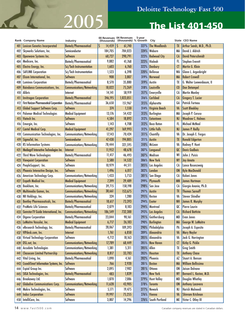## **Deloitte Technology Fast 500**

# **2005 The List 401-450**

 $\overline{\phantom{a}}$ 

|     | Rank Company Name                                                     | Industry                                               | (thousands)      | 00 Revenues 04 Revenues<br>(thousands) % Growth | 5-year       | City                                  |                        | State CEO Name                               |
|-----|-----------------------------------------------------------------------|--------------------------------------------------------|------------------|-------------------------------------------------|--------------|---------------------------------------|------------------------|----------------------------------------------|
| 401 | <b>Lexicon Genetics Incorporated</b>                                  | <b>Biotech/Pharmaceutical</b>                          | 14,459<br>S      | 61,740<br>S                                     | 327%         | <b>The Woodlands</b>                  | <b>TX</b>              | Arthur Sands, M.D., Ph.D.                    |
| 402 | Skyworks Solutions, Inc.                                              | Semiconductor                                          | 184,705          | 784,023                                         | 324%         | Woburn                                | MA                     | David J. Aldrich                             |
| 403 | <b>Openwave Systems Inc.</b>                                          | <b>Software</b>                                        | 68,727           | 290,791                                         | 323%         | <b>Redwood City</b>                   | <b>CA</b>              | <b>David Peterschmidt</b>                    |
| 404 | Medicore, Inc.                                                        | Biotech/Pharmaceutical                                 | 9,882            | 41,768                                          | 323%         | Hialeah                               | FL                     | <b>Stephen Everett</b>                       |
| 405 | Electro Energy, Inc.                                                  | Sci/Tech Instrumentation                               | 1,603            | 6,760                                           | 322%         | <b>Danbury</b>                        | <b>CT</b>              | Martin G. Klein                              |
| 406 | <b>SAFLINK Corporation</b>                                            | Sci/Tech Instrumentation                               | 1,523            | 6,398                                           | 320%         | <b>Bellevue</b>                       | <b>WA</b>              | Glenn L. Argenbright                         |
| 407 | Elcom International, Inc.                                             | <b>Software</b>                                        | 908              | 3,807                                           | 319%         | Norwood                               | <b>MA</b>              | <b>Robert Crowell</b>                        |
| 408 | <b>Luminex Corporation</b>                                            | Biotech/Pharmaceutical                                 | 8,570            | 35,880                                          | 319%         | Austin                                | TX                     | G. Walter Loewenbaum, II                     |
| 409 | Raindance Communications, Inc.                                        | Communications/Networking                              | 18,022           | 75,269                                          | 318%         | Louisville                            | $\omega$               | <b>Don Detampel</b>                          |
| 410 | <b>Alibris</b>                                                        | Internet                                               | 14,141           | 58,919                                          | 317%         | Emeryville                            | CA                     | <b>Martin Manley</b>                         |
| 41  | <b>Invitrogen Corporation</b>                                         | <b>Biotech/Pharmaceutical</b>                          | 246,195          | 1,023,851                                       | 316%         | <b>Carlsbad</b>                       | $1$                    | <b>Gregory T. Lucier</b>                     |
| 412 | <b>First Horizon Pharmaceutical Corporation</b>                       | Biotech/Pharmaceutical                                 | 36,650           | 151,967                                         | 315%         | Alpharetta                            | GA                     | Patrick Forteau                              |
| 413 | <b>Global Support Software Corp.</b>                                  | <b>Software</b>                                        | 374              | 1,550                                           | 314%         | Virginia Beach                        | VA                     | <b>Scott Bleakley</b>                        |
| 414 | <b>Palomar Medical Technologies</b>                                   | <b>Medical Equipment</b>                               | 13,176           | 54,432                                          | 313%         | <b>Burlington</b>                     | <b>MA</b>              | Joseph P. Caruso                             |
| 415 | Viatech Inc.                                                          | Software                                               | 4,584            | 18,892                                          | 312%         | Eatontown                             | <b>NJ</b>              | <b>Woodrow C. Holmes</b>                     |
| 416 | Emergin, Inc.                                                         | Software                                               | 1,143            | 4,708                                           | 312%         | <b>Boca Raton</b>                     | FL                     | Michael McNeal                               |
| 417 | <b>Cantel Medical Corp.</b>                                           | <b>Medical Equipment</b>                               | 41,297           | 169,993                                         | 312%         | <b>Little Falls</b>                   | <b>NJ</b>              | <b>James P. Reilly</b>                       |
| 418 | Communication Technologies, Inc.                                      | Communications/Networking                              | 17,143           | 70,424                                          | 311%         | Chantilly                             | VA                     | Dr. Joseph E. Fergus                         |
| 419 | SigmaTel, Inc.                                                        | Semiconductor                                          | 47,430           | 194,805                                         | 311%         | <b>Austin</b>                         | <b>TX</b>              | <b>Ronald Edgerton</b>                       |
|     | <b>RS Information Systems</b>                                         |                                                        |                  |                                                 | 310%         | McLean                                | VA                     |                                              |
| 420 |                                                                       | Communications/Networking                              | 78,444<br>11,952 | 321,595                                         |              |                                       | QC                     | Rodney P. Hunt<br><b>Denis Gadbois</b>       |
| 421 | Mediagrif Interactive Technologies Inc.                               | Internet                                               |                  | 48,678                                          | 307%         | Longuevil<br>Madison                  | WI                     |                                              |
| 422 | <b>Third Wave Technologies</b>                                        | Biotech/Pharmaceutical                                 | 11,417           | 46,493                                          | 307%         |                                       |                        | John J. Puisis                               |
| 423 | <b>Viewpoint Corporation</b>                                          | Software                                               | 3,580            | 14,532                                          | 306%         | <b>New York</b>                       | <b>NY</b>              | <b>Jay Amato</b>                             |
| 424 | PeopleSupport, Inc.                                                   | Software                                               | 10,979           | 44,511                                          | 305%         | Los Angeles                           | CA                     | Lance Rosenzweig                             |
| 425 | Phoenix Interactive Design, Inc.                                      | <b>Software</b>                                        | 1,496            | 6,017                                           | 302%         | London                                | <b>ON</b>              | <b>Kyle MacDonald</b>                        |
| 426 | American Technology Corp.                                             | Communications/Networking                              | 1,433            | 5,753                                           | 301%         | San Diego                             | CA                     | Kalani Jones                                 |
| 427 | <b>Enpath Medical Inc.</b>                                            | <b>Medical Equipment</b>                               | 7,399            | 29,489                                          | 299%         | Plymouth                              | <b>MN</b>              | <b>James Hartman</b>                         |
| 428 | Bookham, Inc.                                                         | Communications/Networking                              | 39,715           | 158,198                                         | 298%         | San Jose                              | CA                     | Giorgio Anania, Ph.D.                        |
| 429 | Multimedia Games, Inc.                                                | Communications/Networking                              | 38,661           | 153,675                                         | 297%         | <b>Austin</b>                         | TX                     | <b>Thomas Sarnoff</b>                        |
| 430 | NII Holdings, Inc.                                                    | Communications/Networking                              | 324              | 1,280                                           | 295%         | Reston                                | VA                     | <b>Steven Shindler</b>                       |
| 431 | <b>Bentley Pharmaceuticals, Inc.</b><br><b>ProMetic Life Sciences</b> | <b>Biotech/Pharmaceutical</b>                          | 18,617           | 73,393                                          | 294%         | <b>Exeter</b>                         | <b>NH</b>              | <b>James R. Murphy</b>                       |
| 432 |                                                                       | Biotech/Pharmaceutical                                 | 2,079            | 8,183                                           | 294%         | Montreal                              | QC                     | Pierre Laurin                                |
| 433 | Gemstar-TV Guide International, Inc.                                  | Communications/Networking<br>Biotech/Pharmaceutical    | 186,549          | 732,300                                         |              | 293% Los Angeles<br>291% Gaithersburg | <b>CA</b><br><b>MD</b> | <b>Richard Battista</b><br><b>Evan Jones</b> |
|     | <b>Digene Corporation</b>                                             |                                                        | 23,044           | 90,161                                          | 290%         | <b>Burlington</b>                     | <b>MA</b>              | George W. LeMaitre                           |
| 435 | LeMaitre Vascular, Inc.                                               | <b>Medical Equipment</b>                               | 6,717            | 26,183                                          |              |                                       | PA                     | Joseph A. Esposito                           |
| 436 | eResearch Technology, Inc.                                            | Biotech/Pharmaceutical                                 | 28,067           | 109,393                                         | 290%<br>289% | Philadelphia<br>Alexandria            |                        |                                              |
| 437 | VIPdesk.com, Inc.<br>Virtual Technology Corporation                   | Internet<br>Software                                   | 1,761            | 6,850                                           | 285%         | Alexandria                            | VA<br>VA               | <b>Mary Naylor</b><br>Jack G. Harrington     |
| 438 |                                                                       |                                                        | 4,712            | 18,163                                          |              |                                       |                        | Kirby G. Pickle                              |
| 439 | <b>DSL.net, Inc.</b><br>Accudata Technologies                         | Communications/Networking                              | 17,789           | 68,449                                          | 285%<br>285% | New Haven<br>Allen                    | $\sigma$<br>TX         | <b>Greg Smith</b>                            |
| 440 |                                                                       | Communications/Networking<br>Communications/Networking | 1,381            | 5,311                                           |              | <b>Houston</b>                        | TX                     | <b>Anthony Chase</b>                         |
| 441 | <b>Chasecom Limited Partnership</b><br>Vital Living, Inc.             | Biotech/Pharmaceutical                                 | 8,817            | 33,783                                          | 283%<br>282% | Phoenix                               | AZ                     | Stuart A. Benson                             |
| 442 | CrunchTime! Information Systems, Inc.                                 | Software                                               | 1,090            | 4,161                                           | 281%         |                                       |                        | <b>William Bellissimo</b>                    |
| 443 |                                                                       | Software                                               | 766              | 2,920                                           | 281%         | <b>Boston</b><br>Ottawa               | <b>MA</b><br><b>ON</b> | Jaison Dolvane                               |
| 444 | Espial Group Inc.                                                     |                                                        | 2,095            | 7,982                                           |              |                                       |                        |                                              |
| 445 | SIGA Technologies, Inc.                                               | <b>Biotech/Pharmaceutical</b>                          | 483              | 1,839                                           |              | 281% New York                         | <b>NY</b>              | Bernard L. Kasten, M.D.                      |
| 446 | <b>Breakaway Ltd.</b>                                                 | Software                                               | 1,870            | 7,086                                           | 279%         | <b>Hunt Valley</b>                    | <b>MD</b>              | <b>Douglas Whatley</b>                       |
| 447 | <b>Globalive Communications Corp.</b>                                 | Communications/Networking<br>Software                  | 11,628<br>5,171  | 43,905                                          | 278%         | <b>Toronto</b><br><b>Newark</b>       | <b>ON</b>              | <b>Anthony Lacavera</b><br>Harish Malneedi   |
| 448 | Makro Technologies, Inc.                                              | Software                                               |                  | 19,475                                          | 277%         |                                       | NJ                     | <b>Shivram Krishnan</b>                      |
| 449 | <b>Indus Corporation</b>                                              | Software                                               | 19,997<br>3,807  | 75,255<br>14,296                                | 276%         | Vienna<br>276% South Portland         | VA<br>ME               |                                              |
| 450 | IntelliCare, Inc.                                                     |                                                        |                  |                                                 |              |                                       |                        | Victor C. Otley III                          |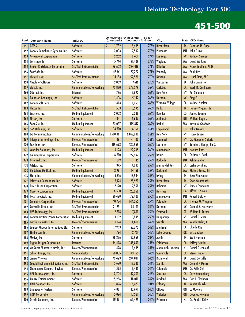|     | Rank Company Name                          | Industry                                    | (thousands) | 00 Revenues 04 Revenues<br>(thousands) % Growth | 5-year | City                     |                        | State CEO Name            |
|-----|--------------------------------------------|---------------------------------------------|-------------|-------------------------------------------------|--------|--------------------------|------------------------|---------------------------|
| 451 | <b>GTESS</b>                               | Software                                    | S<br>1,732  | 6,495                                           | 275%   | Richardson               | TX                     | Deborah M. Gage           |
| 452 | Convey Compliance Systems, Inc.            | Software                                    | 2,003       | 7,502                                           | 275%   | Plymouth                 | MN                     | John Graves               |
| 453 | <b>Accesspoint Corporation</b>             | <b>Software</b>                             | 2,262       | 8,461                                           | 274%   | Las Vegas                | <b>NV</b>              | <b>Michael Savage</b>     |
| 454 | Softscape, Inc.                            | Software                                    | 5,744       | 21,409                                          | 273%   | Wayland                  | MA                     | <b>David Watkins</b>      |
| 455 | <b>Bruker BioSciences Corporation</b>      | Sci/Tech Instrumentation                    | 76,602      | 284,416                                         | 271%   | <b>Billerica</b>         | <b>MA</b>              | Frank Laukien, Ph.D.      |
| 456 | ScanSoft, Inc.                             | Software                                    | 47,961      | 177,777                                         | 271%   | Peabody                  | MA                     | Paul Ricci                |
| 457 | <b>Clinical Data</b>                       | Sci/Tech Instrumentation                    | 14,183      | 52,520                                          | 270%   | <b>Newton</b>            | <b>MA</b>              | Israel Stein, M.D.        |
| 458 | <b>Absolute Software</b>                   | Software                                    | 2,059       | 7,616                                           | 270%   | Vancouver                | BC                     | John Livingston           |
| 459 | ViaSat, Inc.                               | Communications/Networking                   | 75,880      | 278,579                                         | 267%   | <b>Carlsbad</b>          | $1$                    | Mark D. Dankberg          |
| 460 | Oddcast, Inc.                              | Internet                                    | 736         | 2,692                                           | 266%   | <b>New York</b>          | <b>NY</b>              | Adi Sideman               |
| 461 | Raindrop Geomagic, Inc.                    | <b>Software</b>                             | 1,406       | 5,142                                           | 266%   | <b>Durham</b>            | <b>NC</b>              | Ping Fu                   |
| 462 | CaminoSoft Corp.                           | Software                                    | 343         | 1,253                                           | 265%   | <b>Westlake Village</b>  | CA                     | <b>Michael Skelton</b>    |
| 463 | Plexon Inc.                                | Sci/Tech Instrumentation                    | 1,533       | 5,595                                           | 265%   | <b>Dallas</b>            | TX                     | Harvey Wiggins, Jr.       |
|     |                                            |                                             |             |                                                 | 264%   | <b>Boulder</b>           | $\epsilon$             | <b>James Bowman</b>       |
| 464 | Encision, Inc.                             | <b>Medical Equipment</b><br><b>Software</b> | 2,002       | 7,286                                           |        | <b>Amherst</b>           | <b>NH</b>              |                           |
| 465 | Ektron, Inc.                               |                                             | 1,841       | 6,687                                           | 263%   |                          |                        | <b>William Rogers</b>     |
| 466 | SonoSite, Inc.                             | <b>Medical Equipment</b>                    | 32,037      | 115,817                                         | 262%   | <b>Bothell</b>           | <b>WA</b>              | Kevin M. Goodwin          |
| 467 | SAN Holdings, Inc.                         | <b>Software</b>                             | 18,310      | 66,158                                          | 261%   | Englewood                | $\epsilon$             | <b>John Jenkins</b>       |
| 468 | <b>L-3 Communications</b>                  | Communications/Networking                   | 1,910,061   | 6,897,000                                       | 261%   | <b>New York</b>          | <b>NY</b>              | Frank Lanza               |
| 469 | Interpharm Holdings, Inc.                  | <b>Biotech/Pharmaceutical</b>               | 11,391      | 41,100                                          | 261%   | <b>Commack</b>           | <b>NY</b>              | Dr. Maganlal Sutaria      |
| 470 | Eon Labs, Inc.                             | Biotech/Pharmaceutical                      | 119,693     | 430,959                                         | 260%   | Laurelton                | <b>NY</b>              | Bernhard Hampl, Ph.D.     |
| 47  | Vascular Solutions, Inc.                   | <b>Medical Equipment</b>                    | 6,193       | 22,265                                          | 260%   | <b>Minneapolis</b>       | <b>MN</b>              | <b>Howard Root</b>        |
| 472 | <b>Raining Data Corporation</b>            | Software                                    | 6,210       | 22,297                                          | 259%   | Irvine                   | $\mathsf{C}\mathsf{A}$ | <b>Carlton H. Baab</b>    |
| 473 | Cytomedix, Inc.                            | <b>Biotech/Pharmaceutical</b>               | 319         | 1,145                                           | 259%   | <b>Rockville</b>         | <b>MD</b>              | Kshitij Mohan             |
| 474 | AdStar, Inc.                               | Software                                    | 1,375       | 4,933                                           | 259%   | Marina del Rey           | CA                     | Leslie Bernhard           |
| 475 | <b>BioSphere Medical, Inc.</b>             | <b>Medical Equipment</b>                    | 3,961       | 14,158                                          | 257%   | <b>Rockland</b>          | <b>MA</b>              | <b>Richard Faleschini</b> |
| 476 | Efore, Inc.                                | Communications/Networking                   | 5,316       | 18,984                                          | 257%   | Irving                   | TX                     | Vesa Vihavanien           |
| 47  | Infovision Consultants, Inc.               | Software                                    | 8,124       | 28,971                                          | 257%   | Richardson               | TX                     | Sean Yalamanchi           |
| 478 | <b>Direct Insite Corporation</b>           | Software                                    | 2,120       | 7,558                                           | 257%   | Bohemia                  | <b>NY</b>              | James Cannavino           |
| 479 | <b>Novoste Corporation</b>                 | <b>Medical Equipment</b>                    | 6,530       | 23,268                                          | 256%   | <b>Norcross</b>          | GA                     | <b>Alfred J. Novak</b>    |
| 480 | Possis Medical, Inc.                       | <b>Medical Equipment</b>                    | 20,428      | 72,420                                          | 255%   | Minneapolis              | <b>MN</b>              | <b>Robert Dutcher</b>     |
| 481 | <b>Connetics Corporation</b>               | <b>Biotech/Pharmaceutical</b>               | 40,774      | 144,355                                         | 254%   | Palo Alto                | <b>CA</b>              | <b>Thomas G. Wiggans</b>  |
| 482 | Constella Group, Inc.                      | Sci/Tech Instrumentation                    | 21,251      | 75,141                                          | 254%   | <b>Durham</b>            | NC                     | Donald A. Holzworth       |
| 483 | APS Technology, Inc.                       | Sci/Tech Instrumentation                    | 2,218       | 7,841                                           | 254%   | <b>Cromwell</b>          | Œ                      | <b>William E. Turner</b>  |
| 484 | <b>Communication Power Corporation</b>     | <b>Medical Equipment</b>                    | 1,102       | 3,895                                           |        | 253% Hauppauge           | NY                     | Daniel P. Myer            |
| 485 | Pacific Biometrics, Inc.                   | Biotech/Pharmaceutical                      | 1,374       | 4,801                                           | 249%   | <b>Seattle</b>           | <b>WA</b>              | Ronald Helm, J.D.         |
| 486 | Logibec Groupe Informatique Ltd.           | Software                                    | 7,953       | 27,773                                          | 249%   | Montreal                 | QC                     | <b>Claude Roy</b>         |
| 487 | Timbercon, Inc.                            | Communications/Networking                   | 794         | 2,761                                           | 248%   | Lake Oswego              | <b>OR</b>              | <b>Eric Meslow</b>        |
| 488 | Motive, Inc.                               | Software                                    | 28,226      | 97,969                                          | 247%   | Austin                   | TX                     | <b>Scott Harmon</b>       |
| 489 | <b>Digital Insight Corporation</b>         | Internet                                    | 54,428      | 188,891                                         | 247%   | <b>Calabasas</b>         | $1$                    | <b>Jeffrey Stiefler</b>   |
| 490 | VioQuest Pharmaceuticals, Inc.             | Biotech/Pharmaceutical                      | 428         | 1,485                                           | 247%   | <b>Monmouth Junction</b> | NJ                     | <b>Daniel Greenleaf</b>   |
| 49  | Silicon Image, Inc.                        | Semiconductor                               | 50,035      | 173,159                                         | 246%   | Sunnyvale                | $1$                    | <b>Steve Tirado</b>       |
| 492 | Sierra Wireless                            | Communications/Networking                   | 79,423      | 274,841                                         | 246%   | Richmond                 | BC                     | <b>David Sutcliffe</b>    |
| 493 | <b>Coastal Environmental Systems, Inc.</b> | Sci/Tech Instrumentation                    | 3,698       | 12,780                                          | 246%   | Seattle                  | <b>WA</b>              | <b>Donald F. Munro</b>    |
| 494 | <b>Chesapeake Research Review</b>          | <b>Biotech/Pharmaceutical</b>               | 1,595       | 5,483                                           | 244%   | Columbia                 | <b>MD</b>              | Dr. Felix Gyi             |
| 495 | HPL Technologies, Inc.                     | Software                                    | 3,704       | 12,701                                          |        | 243% San Jose            | $1$                    | <b>Cary Vandenberg</b>    |
| 496 | Amaze Entertainment                        | Software                                    | 5,266       | 18,010                                          | 242%   | <b>Kirkland</b>          | <b>WA</b>              | Dan J. Elenbaas           |
| 497 | <b>ARIA Solutions Inc.</b>                 | Software                                    | 1,896       | 6,473                                           | 241%   | Calgary                  | AB                     | <b>Robert Church</b>      |
| 498 | <b>Bridgewater Systems</b>                 | Software                                    | 4,021       | 13,691                                          | 240%   | Ottawa                   | <b>ON</b>              | <b>Ed Ogonek</b>          |
| 499 | <b>RDM Corporation</b>                     | Communications/Networking                   | 5,094       | 17,331                                          | 240%   | <b>Waterloo</b>          | <b>ON</b>              | Douglas Newman            |
| 500 | Orchid Cellmark, Inc.                      | Biotech/Pharmaceutical                      | 18,381      | 62,499                                          | 240%   | Princeton                | <b>NJ</b>              | Dr. Paul J. Kelly         |

Canadian company revenues are stated in Canadian dollars.  $www.fast500.com15$